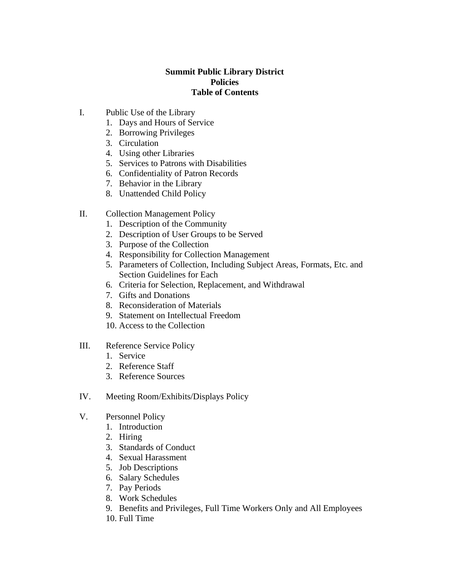### **Summit Public Library District Policies Table of Contents**

- I. Public Use of the Library
	- 1. Days and Hours of Service
	- 2. Borrowing Privileges
	- 3. Circulation
	- 4. Using other Libraries
	- 5. Services to Patrons with Disabilities
	- 6. Confidentiality of Patron Records
	- 7. Behavior in the Library
	- 8. Unattended Child Policy
- II. Collection Management Policy
	- 1. Description of the Community
	- 2. Description of User Groups to be Served
	- 3. Purpose of the Collection
	- 4. Responsibility for Collection Management
	- 5. Parameters of Collection, Including Subject Areas, Formats, Etc. and Section Guidelines for Each
	- 6. Criteria for Selection, Replacement, and Withdrawal
	- 7. Gifts and Donations
	- 8. Reconsideration of Materials
	- 9. Statement on Intellectual Freedom
	- 10. Access to the Collection
- III. Reference Service Policy
	- 1. Service
	- 2. Reference Staff
	- 3. Reference Sources
- IV. Meeting Room/Exhibits/Displays Policy
- V. Personnel Policy
	- 1. Introduction
	- 2. Hiring
	- 3. Standards of Conduct
	- 4. Sexual Harassment
	- 5. Job Descriptions
	- 6. Salary Schedules
	- 7. Pay Periods
	- 8. Work Schedules
	- 9. Benefits and Privileges, Full Time Workers Only and All Employees
	- 10. Full Time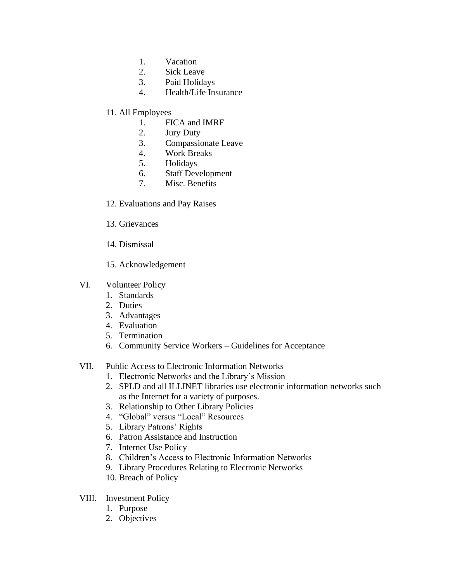- 1. Vacation
- 2. Sick Leave
- 3. Paid Holidays
- 4. Health/Life Insurance
- 11. All Employees
	- 1. FICA and IMRF
	- 2. Jury Duty
	- 3. Compassionate Leave
	- 4. Work Breaks
	- 5. Holidays
	- 6. Staff Development
	- 7. Misc. Benefits
- 12. Evaluations and Pay Raises
- 13. Grievances
- 14. Dismissal
- 15. Acknowledgement

#### VI. Volunteer Policy

- 1. Standards
- 2. Duties
- 3. Advantages
- 4. Evaluation
- 5. Termination
- 6. Community Service Workers Guidelines for Acceptance

## VII. Public Access to Electronic Information Networks

- 1. Electronic Networks and the Library's Mission
- 2. SPLD and all ILLINET libraries use electronic information networks such as the Internet for a variety of purposes.
- 3. Relationship to Other Library Policies
- 4. "Global" versus "Local" Resources
- 5. Library Patrons' Rights
- 6. Patron Assistance and Instruction
- 7. Internet Use Policy
- 8. Children's Access to Electronic Information Networks
- 9. Library Procedures Relating to Electronic Networks
- 10. Breach of Policy
- VIII. Investment Policy
	- 1. Purpose
	- 2. Objectives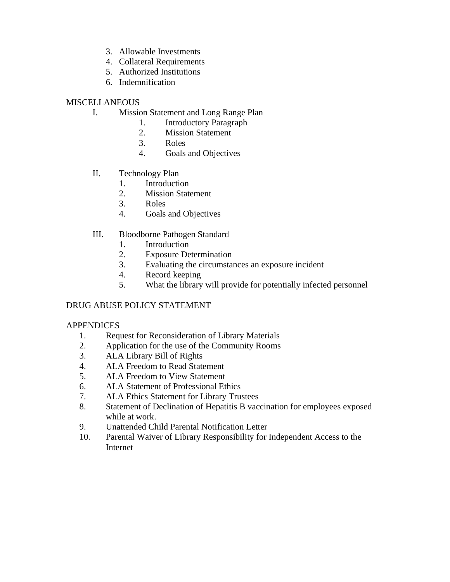- 3. Allowable Investments
- 4. Collateral Requirements
- 5. Authorized Institutions
- 6. Indemnification

### **MISCELLANEOUS**

- I. Mission Statement and Long Range Plan
	- 1. Introductory Paragraph
	- 2. Mission Statement
	- 3. Roles
	- 4. Goals and Objectives
- II. Technology Plan
	- 1. Introduction
	- 2. Mission Statement
	- 3. Roles
	- 4. Goals and Objectives
- III. Bloodborne Pathogen Standard
	- 1. Introduction
	- 2. Exposure Determination
	- 3. Evaluating the circumstances an exposure incident
	- 4. Record keeping
	- 5. What the library will provide for potentially infected personnel

### DRUG ABUSE POLICY STATEMENT

### **APPENDICES**

- 1. Request for Reconsideration of Library Materials
- 2. Application for the use of the Community Rooms
- 3. ALA Library Bill of Rights
- 4. ALA Freedom to Read Statement
- 5. ALA Freedom to View Statement
- 6. ALA Statement of Professional Ethics
- 7. ALA Ethics Statement for Library Trustees
- 8. Statement of Declination of Hepatitis B vaccination for employees exposed while at work.
- 9. Unattended Child Parental Notification Letter
- 10. Parental Waiver of Library Responsibility for Independent Access to the Internet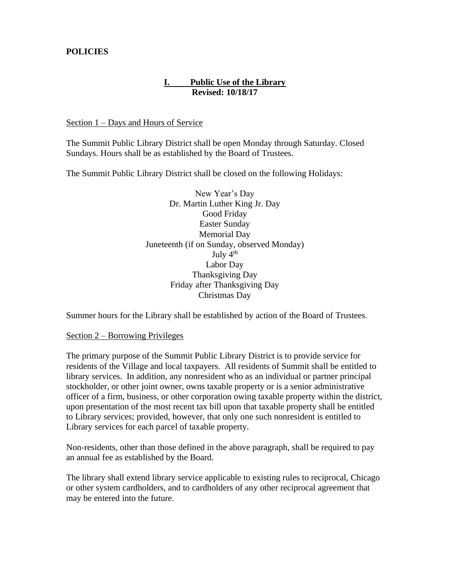# **POLICIES**

# **I. Public Use of the Library Revised: 10/18/17**

Section 1 – Days and Hours of Service

The Summit Public Library District shall be open Monday through Saturday. Closed Sundays. Hours shall be as established by the Board of Trustees.

The Summit Public Library District shall be closed on the following Holidays:

New Year's Day Dr. Martin Luther King Jr. Day Good Friday Easter Sunday Memorial Day Juneteenth (if on Sunday, observed Monday) July  $4<sup>th</sup>$ Labor Day Thanksgiving Day Friday after Thanksgiving Day Christmas Day

Summer hours for the Library shall be established by action of the Board of Trustees.

#### Section 2 – Borrowing Privileges

The primary purpose of the Summit Public Library District is to provide service for residents of the Village and local taxpayers. All residents of Summit shall be entitled to library services. In addition, any nonresident who as an individual or partner principal stockholder, or other joint owner, owns taxable property or is a senior administrative officer of a firm, business, or other corporation owing taxable property within the district, upon presentation of the most recent tax bill upon that taxable property shall be entitled to Library services; provided, however, that only one such nonresident is entitled to Library services for each parcel of taxable property.

Non-residents, other than those defined in the above paragraph, shall be required to pay an annual fee as established by the Board.

The library shall extend library service applicable to existing rules to reciprocal, Chicago or other system cardholders, and to cardholders of any other reciprocal agreement that may be entered into the future.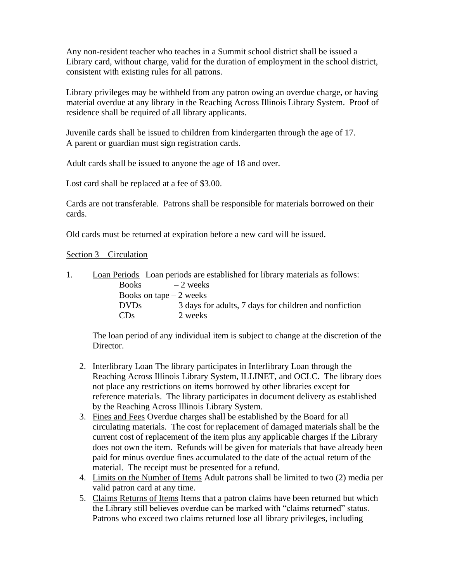Any non-resident teacher who teaches in a Summit school district shall be issued a Library card, without charge, valid for the duration of employment in the school district, consistent with existing rules for all patrons.

Library privileges may be withheld from any patron owing an overdue charge, or having material overdue at any library in the Reaching Across Illinois Library System. Proof of residence shall be required of all library applicants.

Juvenile cards shall be issued to children from kindergarten through the age of 17. A parent or guardian must sign registration cards.

Adult cards shall be issued to anyone the age of 18 and over.

Lost card shall be replaced at a fee of \$3.00.

Cards are not transferable. Patrons shall be responsible for materials borrowed on their cards.

Old cards must be returned at expiration before a new card will be issued.

Section 3 – Circulation

|                 | Loan Periods Loan periods are established for library materials as follows: |
|-----------------|-----------------------------------------------------------------------------|
| <b>Books</b>    | $-2$ weeks                                                                  |
|                 | Books on tape $-2$ weeks                                                    |
| <b>DVDs</b>     | $-3$ days for adults, 7 days for children and nonfiction                    |
| CD <sub>s</sub> | $-2$ weeks                                                                  |

The loan period of any individual item is subject to change at the discretion of the Director.

- 2. Interlibrary Loan The library participates in Interlibrary Loan through the Reaching Across Illinois Library System, ILLINET, and OCLC. The library does not place any restrictions on items borrowed by other libraries except for reference materials. The library participates in document delivery as established by the Reaching Across Illinois Library System.
- 3. Fines and Fees Overdue charges shall be established by the Board for all circulating materials. The cost for replacement of damaged materials shall be the current cost of replacement of the item plus any applicable charges if the Library does not own the item. Refunds will be given for materials that have already been paid for minus overdue fines accumulated to the date of the actual return of the material. The receipt must be presented for a refund.
- 4. Limits on the Number of Items Adult patrons shall be limited to two (2) media per valid patron card at any time.
- 5. Claims Returns of Items Items that a patron claims have been returned but which the Library still believes overdue can be marked with "claims returned" status. Patrons who exceed two claims returned lose all library privileges, including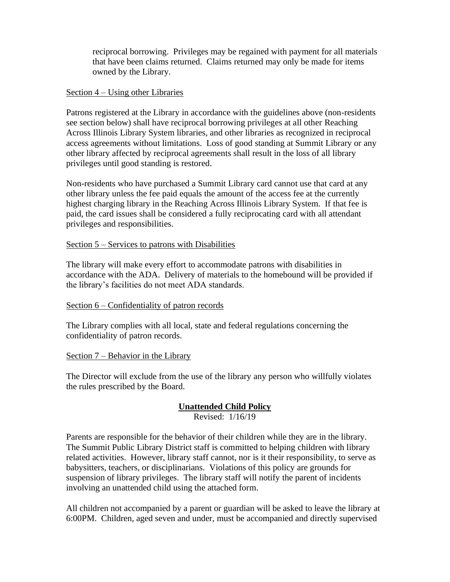reciprocal borrowing. Privileges may be regained with payment for all materials that have been claims returned. Claims returned may only be made for items owned by the Library.

## Section 4 – Using other Libraries

Patrons registered at the Library in accordance with the guidelines above (non-residents see section below) shall have reciprocal borrowing privileges at all other Reaching Across Illinois Library System libraries, and other libraries as recognized in reciprocal access agreements without limitations. Loss of good standing at Summit Library or any other library affected by reciprocal agreements shall result in the loss of all library privileges until good standing is restored.

Non-residents who have purchased a Summit Library card cannot use that card at any other library unless the fee paid equals the amount of the access fee at the currently highest charging library in the Reaching Across Illinois Library System. If that fee is paid, the card issues shall be considered a fully reciprocating card with all attendant privileges and responsibilities.

### Section 5 – Services to patrons with Disabilities

The library will make every effort to accommodate patrons with disabilities in accordance with the ADA. Delivery of materials to the homebound will be provided if the library's facilities do not meet ADA standards.

### Section 6 – Confidentiality of patron records

The Library complies with all local, state and federal regulations concerning the confidentiality of patron records.

### Section 7 – Behavior in the Library

The Director will exclude from the use of the library any person who willfully violates the rules prescribed by the Board.

# **Unattended Child Policy**

Revised: 1/16/19

Parents are responsible for the behavior of their children while they are in the library. The Summit Public Library District staff is committed to helping children with library related activities. However, library staff cannot, nor is it their responsibility, to serve as babysitters, teachers, or disciplinarians. Violations of this policy are grounds for suspension of library privileges. The library staff will notify the parent of incidents involving an unattended child using the attached form.

All children not accompanied by a parent or guardian will be asked to leave the library at 6:00PM. Children, aged seven and under, must be accompanied and directly supervised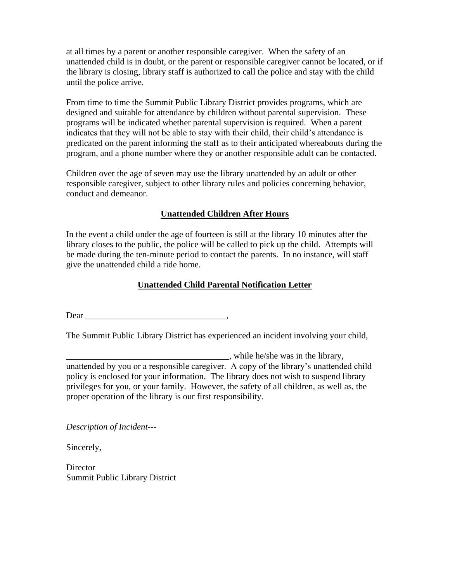at all times by a parent or another responsible caregiver. When the safety of an unattended child is in doubt, or the parent or responsible caregiver cannot be located, or if the library is closing, library staff is authorized to call the police and stay with the child until the police arrive.

From time to time the Summit Public Library District provides programs, which are designed and suitable for attendance by children without parental supervision. These programs will be indicated whether parental supervision is required. When a parent indicates that they will not be able to stay with their child, their child's attendance is predicated on the parent informing the staff as to their anticipated whereabouts during the program, and a phone number where they or another responsible adult can be contacted.

Children over the age of seven may use the library unattended by an adult or other responsible caregiver, subject to other library rules and policies concerning behavior, conduct and demeanor.

# **Unattended Children After Hours**

In the event a child under the age of fourteen is still at the library 10 minutes after the library closes to the public, the police will be called to pick up the child. Attempts will be made during the ten-minute period to contact the parents. In no instance, will staff give the unattended child a ride home.

# **Unattended Child Parental Notification Letter**

Dear \_\_\_\_\_\_\_\_\_\_\_\_\_\_\_\_\_\_\_\_\_\_\_\_\_\_\_\_\_\_\_\_,

The Summit Public Library District has experienced an incident involving your child,

\_\_\_\_\_\_\_\_\_\_\_\_\_\_\_\_\_\_\_\_\_\_\_\_\_\_\_\_\_\_\_\_\_\_\_\_\_, while he/she was in the library, unattended by you or a responsible caregiver. A copy of the library's unattended child policy is enclosed for your information. The library does not wish to suspend library privileges for you, or your family. However, the safety of all children, as well as, the proper operation of the library is our first responsibility.

*Description of Incident---*

Sincerely,

**Director** Summit Public Library District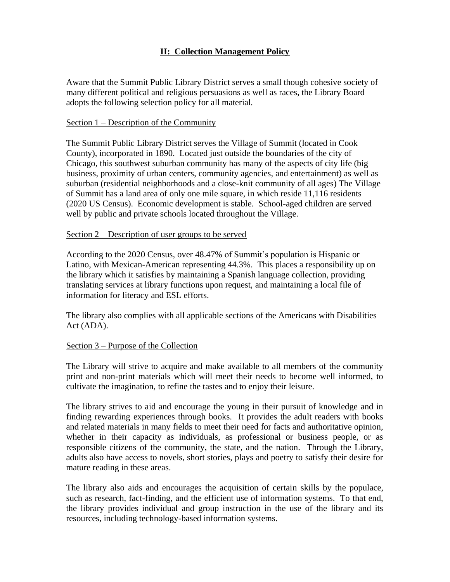# **II: Collection Management Policy**

Aware that the Summit Public Library District serves a small though cohesive society of many different political and religious persuasions as well as races, the Library Board adopts the following selection policy for all material.

#### Section 1 – Description of the Community

The Summit Public Library District serves the Village of Summit (located in Cook County), incorporated in 1890. Located just outside the boundaries of the city of Chicago, this southwest suburban community has many of the aspects of city life (big business, proximity of urban centers, community agencies, and entertainment) as well as suburban (residential neighborhoods and a close-knit community of all ages) The Village of Summit has a land area of only one mile square, in which reside 11,116 residents (2020 US Census). Economic development is stable. School-aged children are served well by public and private schools located throughout the Village.

#### Section 2 – Description of user groups to be served

According to the 2020 Census, over 48.47% of Summit's population is Hispanic or Latino, with Mexican-American representing 44.3%. This places a responsibility up on the library which it satisfies by maintaining a Spanish language collection, providing translating services at library functions upon request, and maintaining a local file of information for literacy and ESL efforts.

The library also complies with all applicable sections of the Americans with Disabilities Act (ADA).

### Section 3 – Purpose of the Collection

The Library will strive to acquire and make available to all members of the community print and non-print materials which will meet their needs to become well informed, to cultivate the imagination, to refine the tastes and to enjoy their leisure.

The library strives to aid and encourage the young in their pursuit of knowledge and in finding rewarding experiences through books. It provides the adult readers with books and related materials in many fields to meet their need for facts and authoritative opinion, whether in their capacity as individuals, as professional or business people, or as responsible citizens of the community, the state, and the nation. Through the Library, adults also have access to novels, short stories, plays and poetry to satisfy their desire for mature reading in these areas.

The library also aids and encourages the acquisition of certain skills by the populace, such as research, fact-finding, and the efficient use of information systems. To that end, the library provides individual and group instruction in the use of the library and its resources, including technology-based information systems.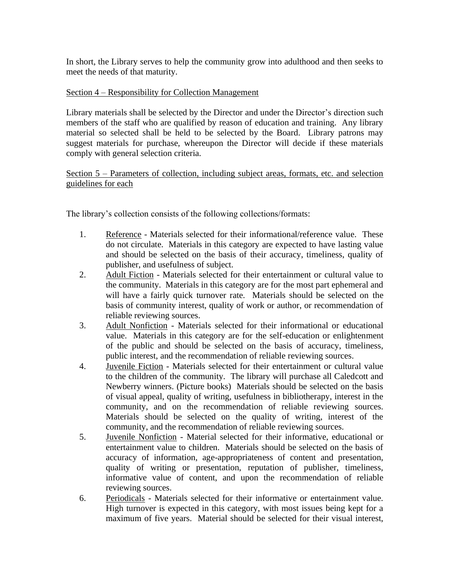In short, the Library serves to help the community grow into adulthood and then seeks to meet the needs of that maturity.

## Section 4 – Responsibility for Collection Management

Library materials shall be selected by the Director and under the Director's direction such members of the staff who are qualified by reason of education and training. Any library material so selected shall be held to be selected by the Board. Library patrons may suggest materials for purchase, whereupon the Director will decide if these materials comply with general selection criteria.

Section 5 – Parameters of collection, including subject areas, formats, etc. and selection guidelines for each

The library's collection consists of the following collections/formats:

- 1. Reference Materials selected for their informational/reference value. These do not circulate. Materials in this category are expected to have lasting value and should be selected on the basis of their accuracy, timeliness, quality of publisher, and usefulness of subject.
- 2. Adult Fiction Materials selected for their entertainment or cultural value to the community. Materials in this category are for the most part ephemeral and will have a fairly quick turnover rate. Materials should be selected on the basis of community interest, quality of work or author, or recommendation of reliable reviewing sources.
- 3. Adult Nonfiction Materials selected for their informational or educational value. Materials in this category are for the self-education or enlightenment of the public and should be selected on the basis of accuracy, timeliness, public interest, and the recommendation of reliable reviewing sources.
- 4. Juvenile Fiction Materials selected for their entertainment or cultural value to the children of the community. The library will purchase all Caledcott and Newberry winners. (Picture books) Materials should be selected on the basis of visual appeal, quality of writing, usefulness in bibliotherapy, interest in the community, and on the recommendation of reliable reviewing sources. Materials should be selected on the quality of writing, interest of the community, and the recommendation of reliable reviewing sources.
- 5. Juvenile Nonfiction Material selected for their informative, educational or entertainment value to children. Materials should be selected on the basis of accuracy of information, age-appropriateness of content and presentation, quality of writing or presentation, reputation of publisher, timeliness, informative value of content, and upon the recommendation of reliable reviewing sources.
- 6. Periodicals Materials selected for their informative or entertainment value. High turnover is expected in this category, with most issues being kept for a maximum of five years. Material should be selected for their visual interest,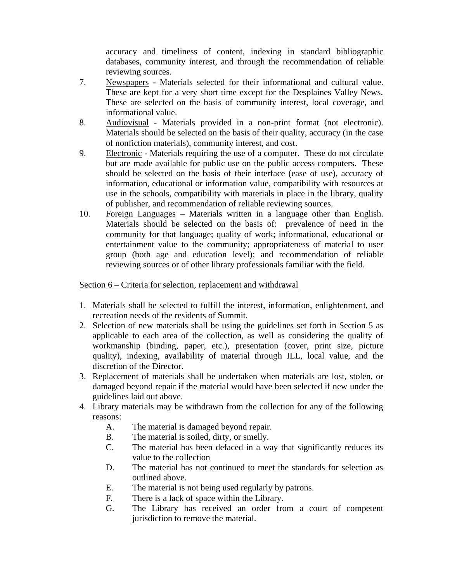accuracy and timeliness of content, indexing in standard bibliographic databases, community interest, and through the recommendation of reliable reviewing sources.

- 7. Newspapers Materials selected for their informational and cultural value. These are kept for a very short time except for the Desplaines Valley News. These are selected on the basis of community interest, local coverage, and informational value.
- 8. Audiovisual Materials provided in a non-print format (not electronic). Materials should be selected on the basis of their quality, accuracy (in the case of nonfiction materials), community interest, and cost.
- 9. Electronic Materials requiring the use of a computer. These do not circulate but are made available for public use on the public access computers. These should be selected on the basis of their interface (ease of use), accuracy of information, educational or information value, compatibility with resources at use in the schools, compatibility with materials in place in the library, quality of publisher, and recommendation of reliable reviewing sources.
- 10. Foreign Languages Materials written in a language other than English. Materials should be selected on the basis of: prevalence of need in the community for that language; quality of work; informational, educational or entertainment value to the community; appropriateness of material to user group (both age and education level); and recommendation of reliable reviewing sources or of other library professionals familiar with the field.

## Section 6 – Criteria for selection, replacement and withdrawal

- 1. Materials shall be selected to fulfill the interest, information, enlightenment, and recreation needs of the residents of Summit.
- 2. Selection of new materials shall be using the guidelines set forth in Section 5 as applicable to each area of the collection, as well as considering the quality of workmanship (binding, paper, etc.), presentation (cover, print size, picture quality), indexing, availability of material through ILL, local value, and the discretion of the Director.
- 3. Replacement of materials shall be undertaken when materials are lost, stolen, or damaged beyond repair if the material would have been selected if new under the guidelines laid out above.
- 4. Library materials may be withdrawn from the collection for any of the following reasons:
	- A. The material is damaged beyond repair.
	- B. The material is soiled, dirty, or smelly.
	- C. The material has been defaced in a way that significantly reduces its value to the collection
	- D. The material has not continued to meet the standards for selection as outlined above.
	- E. The material is not being used regularly by patrons.
	- F. There is a lack of space within the Library.
	- G. The Library has received an order from a court of competent jurisdiction to remove the material.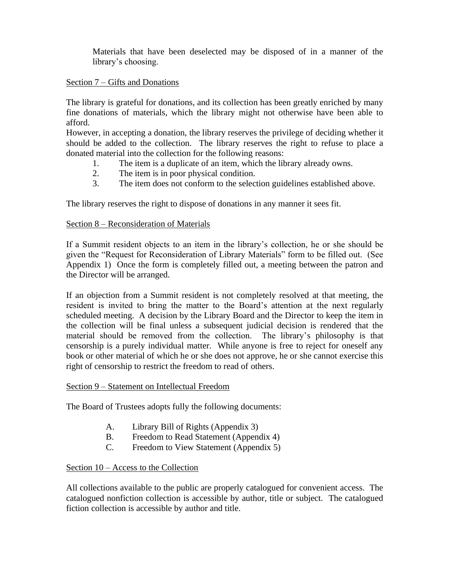Materials that have been deselected may be disposed of in a manner of the library's choosing.

### Section 7 – Gifts and Donations

The library is grateful for donations, and its collection has been greatly enriched by many fine donations of materials, which the library might not otherwise have been able to afford.

However, in accepting a donation, the library reserves the privilege of deciding whether it should be added to the collection. The library reserves the right to refuse to place a donated material into the collection for the following reasons:

- 1. The item is a duplicate of an item, which the library already owns.
- 2. The item is in poor physical condition.
- 3. The item does not conform to the selection guidelines established above.

The library reserves the right to dispose of donations in any manner it sees fit.

# Section 8 – Reconsideration of Materials

If a Summit resident objects to an item in the library's collection, he or she should be given the "Request for Reconsideration of Library Materials" form to be filled out. (See Appendix 1) Once the form is completely filled out, a meeting between the patron and the Director will be arranged.

If an objection from a Summit resident is not completely resolved at that meeting, the resident is invited to bring the matter to the Board's attention at the next regularly scheduled meeting. A decision by the Library Board and the Director to keep the item in the collection will be final unless a subsequent judicial decision is rendered that the material should be removed from the collection. The library's philosophy is that censorship is a purely individual matter. While anyone is free to reject for oneself any book or other material of which he or she does not approve, he or she cannot exercise this right of censorship to restrict the freedom to read of others.

### Section 9 – Statement on Intellectual Freedom

The Board of Trustees adopts fully the following documents:

- A. Library Bill of Rights (Appendix 3)
- B. Freedom to Read Statement (Appendix 4)
- C. Freedom to View Statement (Appendix 5)

# Section 10 – Access to the Collection

All collections available to the public are properly catalogued for convenient access. The catalogued nonfiction collection is accessible by author, title or subject. The catalogued fiction collection is accessible by author and title.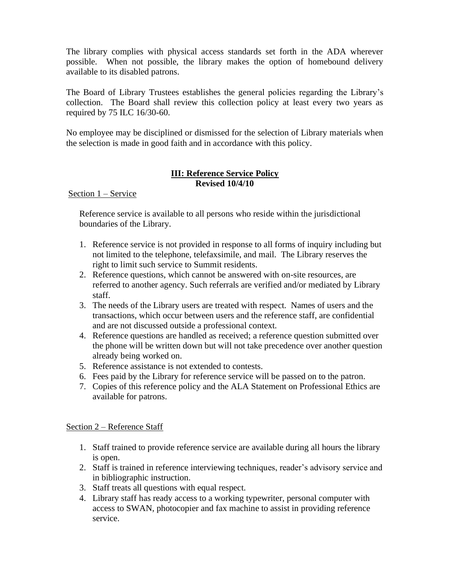The library complies with physical access standards set forth in the ADA wherever possible. When not possible, the library makes the option of homebound delivery available to its disabled patrons.

The Board of Library Trustees establishes the general policies regarding the Library's collection. The Board shall review this collection policy at least every two years as required by 75 ILC 16/30-60.

No employee may be disciplined or dismissed for the selection of Library materials when the selection is made in good faith and in accordance with this policy.

# **III: Reference Service Policy Revised 10/4/10**

Section 1 – Service

Reference service is available to all persons who reside within the jurisdictional boundaries of the Library.

- 1. Reference service is not provided in response to all forms of inquiry including but not limited to the telephone, telefaxsimile, and mail. The Library reserves the right to limit such service to Summit residents.
- 2. Reference questions, which cannot be answered with on-site resources, are referred to another agency. Such referrals are verified and/or mediated by Library staff.
- 3. The needs of the Library users are treated with respect. Names of users and the transactions, which occur between users and the reference staff, are confidential and are not discussed outside a professional context.
- 4. Reference questions are handled as received; a reference question submitted over the phone will be written down but will not take precedence over another question already being worked on.
- 5. Reference assistance is not extended to contests.
- 6. Fees paid by the Library for reference service will be passed on to the patron.
- 7. Copies of this reference policy and the ALA Statement on Professional Ethics are available for patrons.

# Section 2 – Reference Staff

- 1. Staff trained to provide reference service are available during all hours the library is open.
- 2. Staff is trained in reference interviewing techniques, reader's advisory service and in bibliographic instruction.
- 3. Staff treats all questions with equal respect.
- 4. Library staff has ready access to a working typewriter, personal computer with access to SWAN, photocopier and fax machine to assist in providing reference service.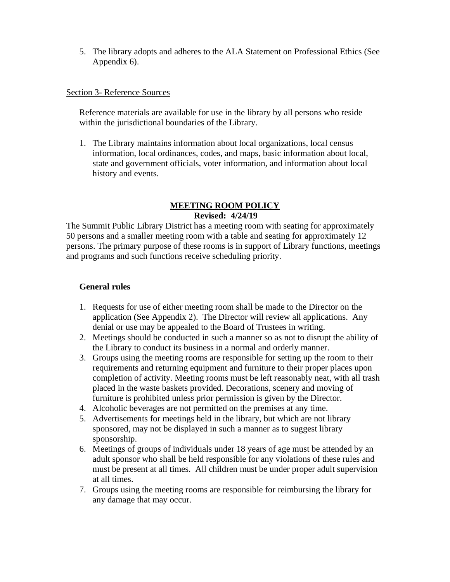5. The library adopts and adheres to the ALA Statement on Professional Ethics (See Appendix 6).

### Section 3- Reference Sources

Reference materials are available for use in the library by all persons who reside within the jurisdictional boundaries of the Library.

1. The Library maintains information about local organizations, local census information, local ordinances, codes, and maps, basic information about local, state and government officials, voter information, and information about local history and events.

#### **MEETING ROOM POLICY Revised: 4/24/19**

The Summit Public Library District has a meeting room with seating for approximately 50 persons and a smaller meeting room with a table and seating for approximately 12 persons. The primary purpose of these rooms is in support of Library functions, meetings and programs and such functions receive scheduling priority.

#### **General rules**

- 1. Requests for use of either meeting room shall be made to the Director on the application (See Appendix 2). The Director will review all applications. Any denial or use may be appealed to the Board of Trustees in writing.
- 2. Meetings should be conducted in such a manner so as not to disrupt the ability of the Library to conduct its business in a normal and orderly manner.
- 3. Groups using the meeting rooms are responsible for setting up the room to their requirements and returning equipment and furniture to their proper places upon completion of activity. Meeting rooms must be left reasonably neat, with all trash placed in the waste baskets provided. Decorations, scenery and moving of furniture is prohibited unless prior permission is given by the Director.
- 4. Alcoholic beverages are not permitted on the premises at any time.
- 5. Advertisements for meetings held in the library, but which are not library sponsored, may not be displayed in such a manner as to suggest library sponsorship.
- 6. Meetings of groups of individuals under 18 years of age must be attended by an adult sponsor who shall be held responsible for any violations of these rules and must be present at all times. All children must be under proper adult supervision at all times.
- 7. Groups using the meeting rooms are responsible for reimbursing the library for any damage that may occur.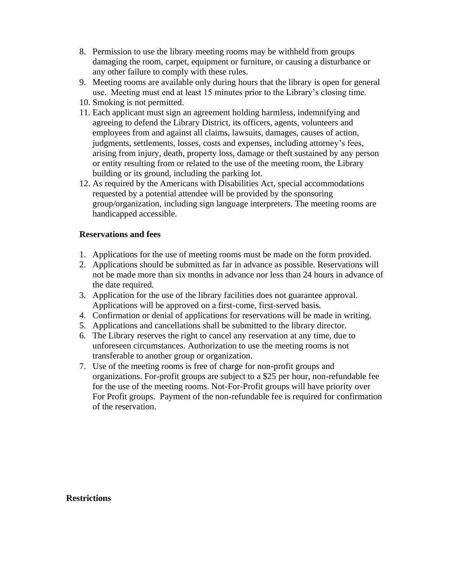- 8. Permission to use the library meeting rooms may be withheld from groups damaging the room, carpet, equipment or furniture, or causing a disturbance or any other failure to comply with these rules.
- 9. Meeting rooms are available only during hours that the library is open for general use. Meeting must end at least 15 minutes prior to the Library's closing time.
- 10. Smoking is not permitted.
- 11. Each applicant must sign an agreement holding harmless, indemnifying and agreeing to defend the Library District, its officers, agents, volunteers and employees from and against all claims, lawsuits, damages, causes of action, judgments, settlements, losses, costs and expenses, including attorney's fees, arising from injury, death, property loss, damage or theft sustained by any person or entity resulting from or related to the use of the meeting room, the Library building or its ground, including the parking lot.
- 12. As required by the Americans with Disabilities Act, special accommodations requested by a potential attendee will be provided by the sponsoring group/organization, including sign language interpreters. The meeting rooms are handicapped accessible.

## **Reservations and fees**

- 1. Applications for the use of meeting rooms must be made on the form provided.
- 2. Applications should be submitted as far in advance as possible. Reservations will not be made more than six months in advance nor less than 24 hours in advance of the date required.
- 3. Application for the use of the library facilities does not guarantee approval. Applications will be approved on a first-come, first-served basis.
- 4. Confirmation or denial of applications for reservations will be made in writing.
- 5. Applications and cancellations shall be submitted to the library director.
- 6. The Library reserves the right to cancel any reservation at any time, due to unforeseen circumstances. Authorization to use the meeting rooms is not transferable to another group or organization.
- 7. Use of the meeting rooms is free of charge for non-profit groups and organizations. For-profit groups are subject to a \$25 per hour, non-refundable fee for the use of the meeting rooms. Not-For-Profit groups will have priority over For Profit groups. Payment of the non-refundable fee is required for confirmation of the reservation.

**Restrictions**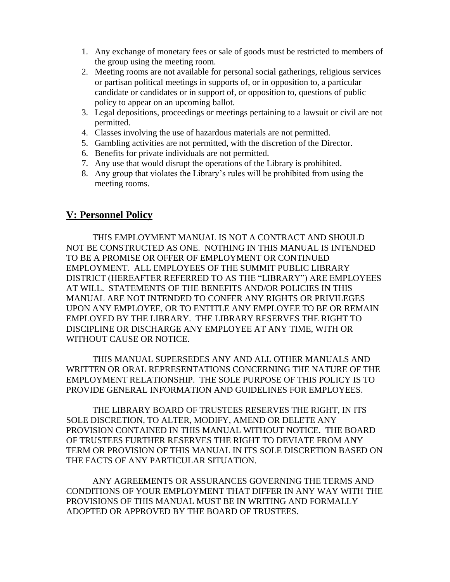- 1. Any exchange of monetary fees or sale of goods must be restricted to members of the group using the meeting room.
- 2. Meeting rooms are not available for personal social gatherings, religious services or partisan political meetings in supports of, or in opposition to, a particular candidate or candidates or in support of, or opposition to, questions of public policy to appear on an upcoming ballot.
- 3. Legal depositions, proceedings or meetings pertaining to a lawsuit or civil are not permitted.
- 4. Classes involving the use of hazardous materials are not permitted.
- 5. Gambling activities are not permitted, with the discretion of the Director.
- 6. Benefits for private individuals are not permitted.
- 7. Any use that would disrupt the operations of the Library is prohibited.
- 8. Any group that violates the Library's rules will be prohibited from using the meeting rooms.

# **V: Personnel Policy**

THIS EMPLOYMENT MANUAL IS NOT A CONTRACT AND SHOULD NOT BE CONSTRUCTED AS ONE. NOTHING IN THIS MANUAL IS INTENDED TO BE A PROMISE OR OFFER OF EMPLOYMENT OR CONTINUED EMPLOYMENT. ALL EMPLOYEES OF THE SUMMIT PUBLIC LIBRARY DISTRICT (HEREAFTER REFERRED TO AS THE "LIBRARY") ARE EMPLOYEES AT WILL. STATEMENTS OF THE BENEFITS AND/OR POLICIES IN THIS MANUAL ARE NOT INTENDED TO CONFER ANY RIGHTS OR PRIVILEGES UPON ANY EMPLOYEE, OR TO ENTITLE ANY EMPLOYEE TO BE OR REMAIN EMPLOYED BY THE LIBRARY. THE LIBRARY RESERVES THE RIGHT TO DISCIPLINE OR DISCHARGE ANY EMPLOYEE AT ANY TIME, WITH OR WITHOUT CAUSE OR NOTICE.

THIS MANUAL SUPERSEDES ANY AND ALL OTHER MANUALS AND WRITTEN OR ORAL REPRESENTATIONS CONCERNING THE NATURE OF THE EMPLOYMENT RELATIONSHIP. THE SOLE PURPOSE OF THIS POLICY IS TO PROVIDE GENERAL INFORMATION AND GUIDELINES FOR EMPLOYEES.

THE LIBRARY BOARD OF TRUSTEES RESERVES THE RIGHT, IN ITS SOLE DISCRETION, TO ALTER, MODIFY, AMEND OR DELETE ANY PROVISION CONTAINED IN THIS MANUAL WITHOUT NOTICE. THE BOARD OF TRUSTEES FURTHER RESERVES THE RIGHT TO DEVIATE FROM ANY TERM OR PROVISION OF THIS MANUAL IN ITS SOLE DISCRETION BASED ON THE FACTS OF ANY PARTICULAR SITUATION.

ANY AGREEMENTS OR ASSURANCES GOVERNING THE TERMS AND CONDITIONS OF YOUR EMPLOYMENT THAT DIFFER IN ANY WAY WITH THE PROVISIONS OF THIS MANUAL MUST BE IN WRITING AND FORMALLY ADOPTED OR APPROVED BY THE BOARD OF TRUSTEES.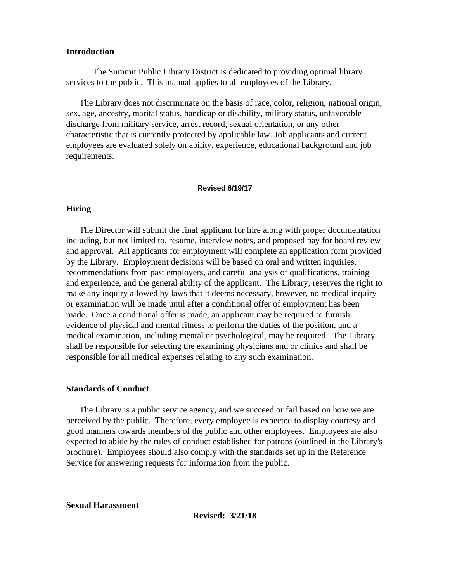#### **Introduction**

The Summit Public Library District is dedicated to providing optimal library services to the public. This manual applies to all employees of the Library.

 The Library does not discriminate on the basis of race, color, religion, national origin, sex, age, ancestry, marital status, handicap or disability, military status, unfavorable discharge from military service, arrest record, sexual orientation, or any other characteristic that is currently protected by applicable law. Job applicants and current employees are evaluated solely on ability, experience, educational background and job requirements.

#### **Revised 6/19/17**

#### **Hiring**

 The Director will submit the final applicant for hire along with proper documentation including, but not limited to, resume, interview notes, and proposed pay for board review and approval. All applicants for employment will complete an application form provided by the Library. Employment decisions will be based on oral and written inquiries, recommendations from past employers, and careful analysis of qualifications, training and experience, and the general ability of the applicant. The Library, reserves the right to make any inquiry allowed by laws that it deems necessary, however, no medical inquiry or examination will be made until after a conditional offer of employment has been made. Once a conditional offer is made, an applicant may be required to furnish evidence of physical and mental fitness to perform the duties of the position, and a medical examination, including mental or psychological, may be required. The Library shall be responsible for selecting the examining physicians and or clinics and shall be responsible for all medical expenses relating to any such examination.

#### **Standards of Conduct**

 The Library is a public service agency, and we succeed or fail based on how we are perceived by the public. Therefore, every employee is expected to display courtesy and good manners towards members of the public and other employees. Employees are also expected to abide by the rules of conduct established for patrons (outlined in the Library's brochure). Employees should also comply with the standards set up in the Reference Service for answering requests for information from the public.

**Sexual Harassment**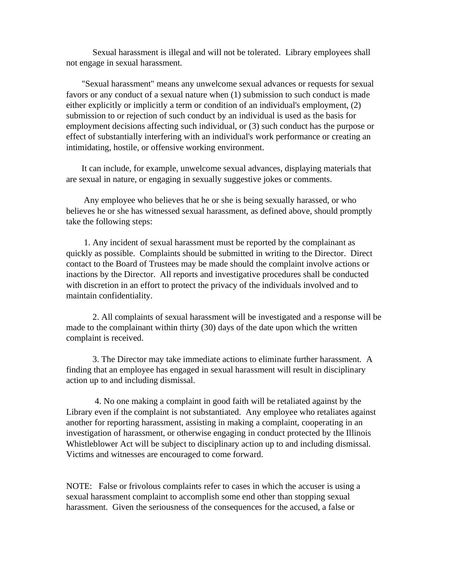Sexual harassment is illegal and will not be tolerated. Library employees shall not engage in sexual harassment.

 "Sexual harassment" means any unwelcome sexual advances or requests for sexual favors or any conduct of a sexual nature when (1) submission to such conduct is made either explicitly or implicitly a term or condition of an individual's employment, (2) submission to or rejection of such conduct by an individual is used as the basis for employment decisions affecting such individual, or (3) such conduct has the purpose or effect of substantially interfering with an individual's work performance or creating an intimidating, hostile, or offensive working environment.

 It can include, for example, unwelcome sexual advances, displaying materials that are sexual in nature, or engaging in sexually suggestive jokes or comments.

 Any employee who believes that he or she is being sexually harassed, or who believes he or she has witnessed sexual harassment, as defined above, should promptly take the following steps:

 1. Any incident of sexual harassment must be reported by the complainant as quickly as possible. Complaints should be submitted in writing to the Director. Direct contact to the Board of Trustees may be made should the complaint involve actions or inactions by the Director. All reports and investigative procedures shall be conducted with discretion in an effort to protect the privacy of the individuals involved and to maintain confidentiality.

2. All complaints of sexual harassment will be investigated and a response will be made to the complainant within thirty (30) days of the date upon which the written complaint is received.

3. The Director may take immediate actions to eliminate further harassment. A finding that an employee has engaged in sexual harassment will result in disciplinary action up to and including dismissal.

4. No one making a complaint in good faith will be retaliated against by the Library even if the complaint is not substantiated. Any employee who retaliates against another for reporting harassment, assisting in making a complaint, cooperating in an investigation of harassment, or otherwise engaging in conduct protected by the Illinois Whistleblower Act will be subject to disciplinary action up to and including dismissal. Victims and witnesses are encouraged to come forward.

NOTE: False or frivolous complaints refer to cases in which the accuser is using a sexual harassment complaint to accomplish some end other than stopping sexual harassment. Given the seriousness of the consequences for the accused, a false or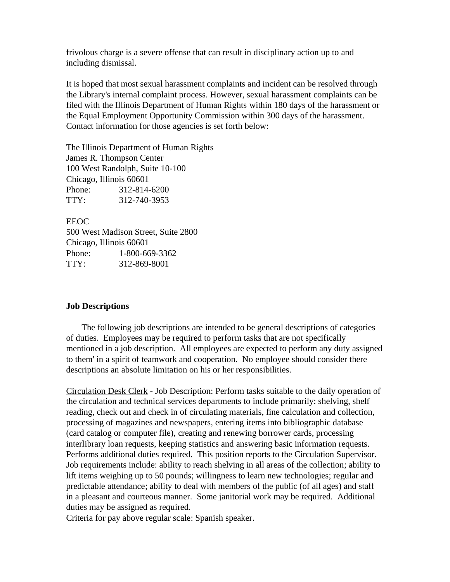frivolous charge is a severe offense that can result in disciplinary action up to and including dismissal.

It is hoped that most sexual harassment complaints and incident can be resolved through the Library's internal complaint process. However, sexual harassment complaints can be filed with the Illinois Department of Human Rights within 180 days of the harassment or the Equal Employment Opportunity Commission within 300 days of the harassment. Contact information for those agencies is set forth below:

The Illinois Department of Human Rights James R. Thompson Center 100 West Randolph, Suite 10-100 Chicago, Illinois 60601 Phone: 312-814-6200 TTY: 312-740-3953

EEOC 500 West Madison Street, Suite 2800 Chicago, Illinois 60601 Phone: 1-800-669-3362 TTY: 312-869-8001

### **Job Descriptions**

 The following job descriptions are intended to be general descriptions of categories of duties. Employees may be required to perform tasks that are not specifically mentioned in a job description. All employees are expected to perform any duty assigned to them' in a spirit of teamwork and cooperation. No employee should consider there descriptions an absolute limitation on his or her responsibilities.

Circulation Desk Clerk - Job Description: Perform tasks suitable to the daily operation of the circulation and technical services departments to include primarily: shelving, shelf reading, check out and check in of circulating materials, fine calculation and collection, processing of magazines and newspapers, entering items into bibliographic database (card catalog or computer file), creating and renewing borrower cards, processing interlibrary loan requests, keeping statistics and answering basic information requests. Performs additional duties required. This position reports to the Circulation Supervisor. Job requirements include: ability to reach shelving in all areas of the collection; ability to lift items weighing up to 50 pounds; willingness to learn new technologies; regular and predictable attendance; ability to deal with members of the public (of all ages) and staff in a pleasant and courteous manner. Some janitorial work may be required. Additional duties may be assigned as required.

Criteria for pay above regular scale: Spanish speaker.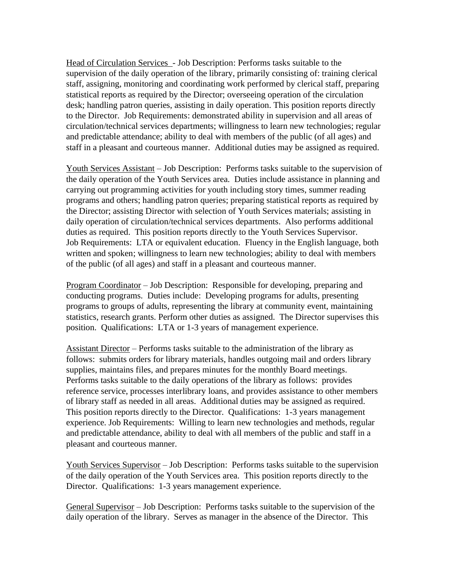Head of Circulation Services - Job Description: Performs tasks suitable to the supervision of the daily operation of the library, primarily consisting of: training clerical staff, assigning, monitoring and coordinating work performed by clerical staff, preparing statistical reports as required by the Director; overseeing operation of the circulation desk; handling patron queries, assisting in daily operation. This position reports directly to the Director. Job Requirements: demonstrated ability in supervision and all areas of circulation/technical services departments; willingness to learn new technologies; regular and predictable attendance; ability to deal with members of the public (of all ages) and staff in a pleasant and courteous manner. Additional duties may be assigned as required.

Youth Services Assistant – Job Description: Performs tasks suitable to the supervision of the daily operation of the Youth Services area. Duties include assistance in planning and carrying out programming activities for youth including story times, summer reading programs and others; handling patron queries; preparing statistical reports as required by the Director; assisting Director with selection of Youth Services materials; assisting in daily operation of circulation/technical services departments. Also performs additional duties as required. This position reports directly to the Youth Services Supervisor. Job Requirements: LTA or equivalent education. Fluency in the English language, both written and spoken; willingness to learn new technologies; ability to deal with members of the public (of all ages) and staff in a pleasant and courteous manner.

Program Coordinator – Job Description: Responsible for developing, preparing and conducting programs. Duties include: Developing programs for adults, presenting programs to groups of adults, representing the library at community event, maintaining statistics, research grants. Perform other duties as assigned. The Director supervises this position. Qualifications: LTA or 1-3 years of management experience.

Assistant Director – Performs tasks suitable to the administration of the library as follows: submits orders for library materials, handles outgoing mail and orders library supplies, maintains files, and prepares minutes for the monthly Board meetings. Performs tasks suitable to the daily operations of the library as follows: provides reference service, processes interlibrary loans, and provides assistance to other members of library staff as needed in all areas. Additional duties may be assigned as required. This position reports directly to the Director. Qualifications: 1-3 years management experience. Job Requirements: Willing to learn new technologies and methods, regular and predictable attendance, ability to deal with all members of the public and staff in a pleasant and courteous manner.

Youth Services Supervisor – Job Description: Performs tasks suitable to the supervision of the daily operation of the Youth Services area. This position reports directly to the Director. Qualifications: 1-3 years management experience.

General Supervisor – Job Description: Performs tasks suitable to the supervision of the daily operation of the library. Serves as manager in the absence of the Director. This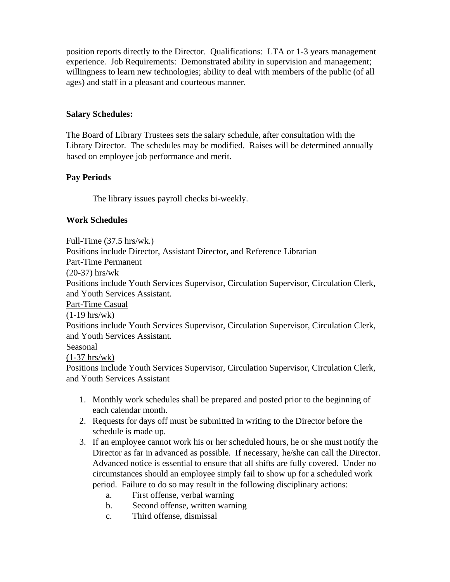position reports directly to the Director. Qualifications: LTA or 1-3 years management experience. Job Requirements: Demonstrated ability in supervision and management; willingness to learn new technologies; ability to deal with members of the public (of all ages) and staff in a pleasant and courteous manner.

## **Salary Schedules:**

The Board of Library Trustees sets the salary schedule, after consultation with the Library Director. The schedules may be modified. Raises will be determined annually based on employee job performance and merit.

# **Pay Periods**

The library issues payroll checks bi-weekly.

## **Work Schedules**

Full-Time (37.5 hrs/wk.)

Positions include Director, Assistant Director, and Reference Librarian

Part-Time Permanent

(20-37) hrs/wk

Positions include Youth Services Supervisor, Circulation Supervisor, Circulation Clerk, and Youth Services Assistant.

Part-Time Casual

(1-19 hrs/wk)

Positions include Youth Services Supervisor, Circulation Supervisor, Circulation Clerk, and Youth Services Assistant.

### Seasonal

(1-37 hrs/wk)

Positions include Youth Services Supervisor, Circulation Supervisor, Circulation Clerk, and Youth Services Assistant

- 1. Monthly work schedules shall be prepared and posted prior to the beginning of each calendar month.
- 2. Requests for days off must be submitted in writing to the Director before the schedule is made up.
- 3. If an employee cannot work his or her scheduled hours, he or she must notify the Director as far in advanced as possible. If necessary, he/she can call the Director. Advanced notice is essential to ensure that all shifts are fully covered. Under no circumstances should an employee simply fail to show up for a scheduled work period. Failure to do so may result in the following disciplinary actions:
	- a. First offense, verbal warning
	- b. Second offense, written warning
	- c. Third offense, dismissal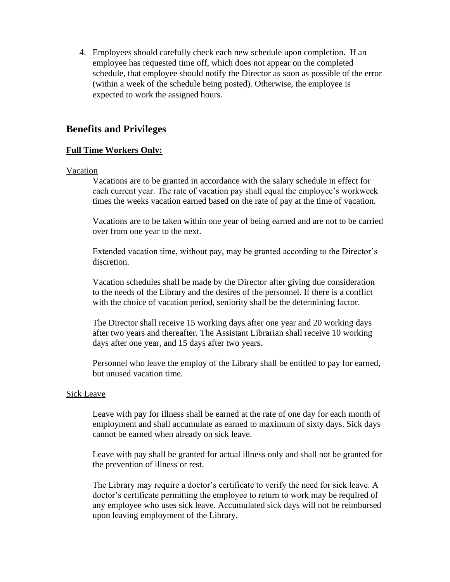4. Employees should carefully check each new schedule upon completion. If an employee has requested time off, which does not appear on the completed schedule, that employee should notify the Director as soon as possible of the error (within a week of the schedule being posted). Otherwise, the employee is expected to work the assigned hours.

# **Benefits and Privileges**

## **Full Time Workers Only:**

### Vacation

Vacations are to be granted in accordance with the salary schedule in effect for each current year. The rate of vacation pay shall equal the employee's workweek times the weeks vacation earned based on the rate of pay at the time of vacation.

Vacations are to be taken within one year of being earned and are not to be carried over from one year to the next.

Extended vacation time, without pay, may be granted according to the Director's discretion.

Vacation schedules shall be made by the Director after giving due consideration to the needs of the Library and the desires of the personnel. If there is a conflict with the choice of vacation period, seniority shall be the determining factor.

The Director shall receive 15 working days after one year and 20 working days after two years and thereafter. The Assistant Librarian shall receive 10 working days after one year, and 15 days after two years.

Personnel who leave the employ of the Library shall be entitled to pay for earned, but unused vacation time.

### Sick Leave

Leave with pay for illness shall be earned at the rate of one day for each month of employment and shall accumulate as earned to maximum of sixty days. Sick days cannot be earned when already on sick leave.

Leave with pay shall be granted for actual illness only and shall not be granted for the prevention of illness or rest.

The Library may require a doctor's certificate to verify the need for sick leave. A doctor's certificate permitting the employee to return to work may be required of any employee who uses sick leave. Accumulated sick days will not be reimbursed upon leaving employment of the Library.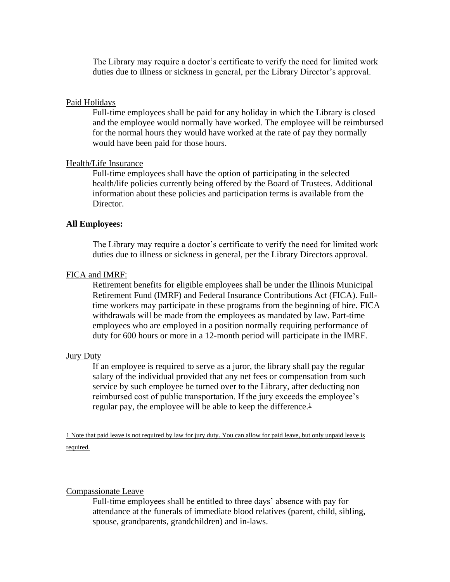The Library may require a doctor's certificate to verify the need for limited work duties due to illness or sickness in general, per the Library Director's approval.

#### Paid Holidays

Full-time employees shall be paid for any holiday in which the Library is closed and the employee would normally have worked. The employee will be reimbursed for the normal hours they would have worked at the rate of pay they normally would have been paid for those hours.

#### Health/Life Insurance

Full-time employees shall have the option of participating in the selected health/life policies currently being offered by the Board of Trustees. Additional information about these policies and participation terms is available from the Director.

#### **All Employees:**

The Library may require a doctor's certificate to verify the need for limited work duties due to illness or sickness in general, per the Library Directors approval.

#### FICA and IMRF:

Retirement benefits for eligible employees shall be under the Illinois Municipal Retirement Fund (IMRF) and Federal Insurance Contributions Act (FICA). Fulltime workers may participate in these programs from the beginning of hire. FICA withdrawals will be made from the employees as mandated by law. Part-time employees who are employed in a position normally requiring performance of duty for 600 hours or more in a 12-month period will participate in the IMRF.

#### Jury Duty

If an employee is required to serve as a juror, the library shall pay the regular salary of the individual provided that any net fees or compensation from such service by such employee be turned over to the Library, after deducting non reimbursed cost of public transportation. If the jury exceeds the employee's regular pay, the employee will be able to keep the difference. $<sup>1</sup>$ </sup>

1 Note that paid leave is not required by law for jury duty. You can allow for paid leave, but only unpaid leave is required.

#### Compassionate Leave

Full-time employees shall be entitled to three days' absence with pay for attendance at the funerals of immediate blood relatives (parent, child, sibling, spouse, grandparents, grandchildren) and in-laws.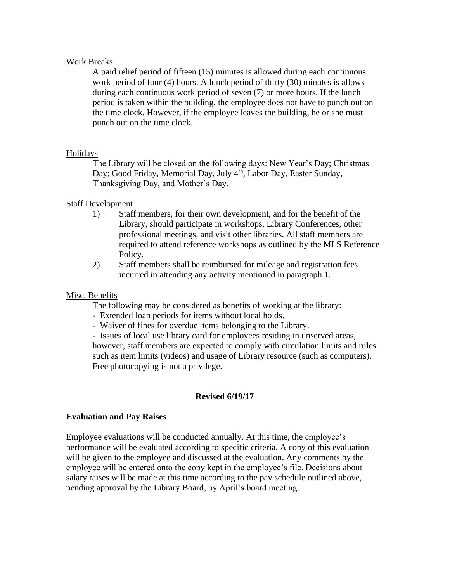#### Work Breaks

A paid relief period of fifteen (15) minutes is allowed during each continuous work period of four (4) hours. A lunch period of thirty (30) minutes is allows during each continuous work period of seven (7) or more hours. If the lunch period is taken within the building, the employee does not have to punch out on the time clock. However, if the employee leaves the building, he or she must punch out on the time clock.

### Holidays

The Library will be closed on the following days: New Year's Day; Christmas Day; Good Friday, Memorial Day, July 4<sup>th</sup>, Labor Day, Easter Sunday, Thanksgiving Day, and Mother's Day.

### Staff Development

- 1) Staff members, for their own development, and for the benefit of the Library, should participate in workshops, Library Conferences, other professional meetings, and visit other libraries. All staff members are required to attend reference workshops as outlined by the MLS Reference Policy.
- 2) Staff members shall be reimbursed for mileage and registration fees incurred in attending any activity mentioned in paragraph 1.

#### Misc. Benefits

The following may be considered as benefits of working at the library:

- Extended loan periods for items without local holds.
- Waiver of fines for overdue items belonging to the Library.

- Issues of local use library card for employees residing in unserved areas, however, staff members are expected to comply with circulation limits and rules such as item limits (videos) and usage of Library resource (such as computers). Free photocopying is not a privilege.

### **Revised 6/19/17**

#### **Evaluation and Pay Raises**

Employee evaluations will be conducted annually. At this time, the employee's performance will be evaluated according to specific criteria. A copy of this evaluation will be given to the employee and discussed at the evaluation. Any comments by the employee will be entered onto the copy kept in the employee's file. Decisions about salary raises will be made at this time according to the pay schedule outlined above, pending approval by the Library Board, by April's board meeting.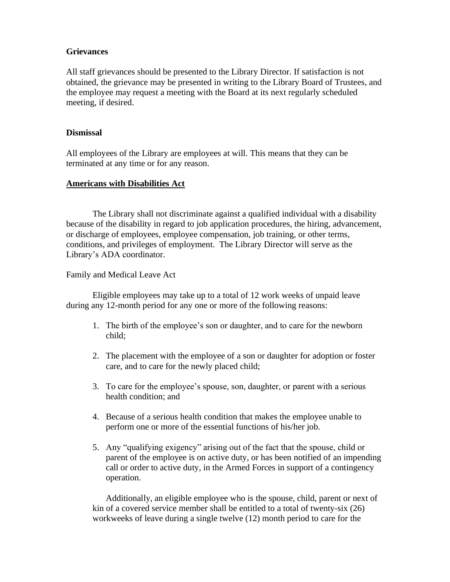## **Grievances**

All staff grievances should be presented to the Library Director. If satisfaction is not obtained, the grievance may be presented in writing to the Library Board of Trustees, and the employee may request a meeting with the Board at its next regularly scheduled meeting, if desired.

## **Dismissal**

All employees of the Library are employees at will. This means that they can be terminated at any time or for any reason.

# **Americans with Disabilities Act**

The Library shall not discriminate against a qualified individual with a disability because of the disability in regard to job application procedures, the hiring, advancement, or discharge of employees, employee compensation, job training, or other terms, conditions, and privileges of employment. The Library Director will serve as the Library's ADA coordinator.

Family and Medical Leave Act

Eligible employees may take up to a total of 12 work weeks of unpaid leave during any 12-month period for any one or more of the following reasons:

- 1. The birth of the employee's son or daughter, and to care for the newborn child;
- 2. The placement with the employee of a son or daughter for adoption or foster care, and to care for the newly placed child;
- 3. To care for the employee's spouse, son, daughter, or parent with a serious health condition; and
- 4. Because of a serious health condition that makes the employee unable to perform one or more of the essential functions of his/her job.
- 5. Any "qualifying exigency" arising out of the fact that the spouse, child or parent of the employee is on active duty, or has been notified of an impending call or order to active duty, in the Armed Forces in support of a contingency operation.

Additionally, an eligible employee who is the spouse, child, parent or next of kin of a covered service member shall be entitled to a total of twenty-six (26) workweeks of leave during a single twelve (12) month period to care for the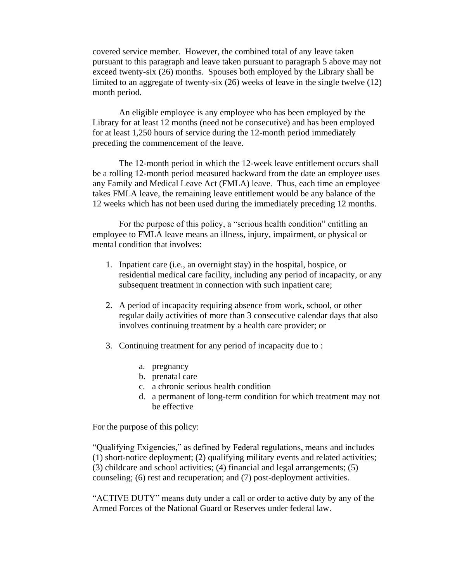covered service member. However, the combined total of any leave taken pursuant to this paragraph and leave taken pursuant to paragraph 5 above may not exceed twenty-six (26) months. Spouses both employed by the Library shall be limited to an aggregate of twenty-six (26) weeks of leave in the single twelve (12) month period.

An eligible employee is any employee who has been employed by the Library for at least 12 months (need not be consecutive) and has been employed for at least 1,250 hours of service during the 12-month period immediately preceding the commencement of the leave.

The 12-month period in which the 12-week leave entitlement occurs shall be a rolling 12-month period measured backward from the date an employee uses any Family and Medical Leave Act (FMLA) leave. Thus, each time an employee takes FMLA leave, the remaining leave entitlement would be any balance of the 12 weeks which has not been used during the immediately preceding 12 months.

For the purpose of this policy, a "serious health condition" entitling an employee to FMLA leave means an illness, injury, impairment, or physical or mental condition that involves:

- 1. Inpatient care (i.e., an overnight stay) in the hospital, hospice, or residential medical care facility, including any period of incapacity, or any subsequent treatment in connection with such inpatient care;
- 2. A period of incapacity requiring absence from work, school, or other regular daily activities of more than 3 consecutive calendar days that also involves continuing treatment by a health care provider; or
- 3. Continuing treatment for any period of incapacity due to :
	- a. pregnancy
	- b. prenatal care
	- c. a chronic serious health condition
	- d. a permanent of long-term condition for which treatment may not be effective

For the purpose of this policy:

"Qualifying Exigencies," as defined by Federal regulations, means and includes (1) short-notice deployment; (2) qualifying military events and related activities; (3) childcare and school activities; (4) financial and legal arrangements; (5) counseling; (6) rest and recuperation; and (7) post-deployment activities.

"ACTIVE DUTY" means duty under a call or order to active duty by any of the Armed Forces of the National Guard or Reserves under federal law.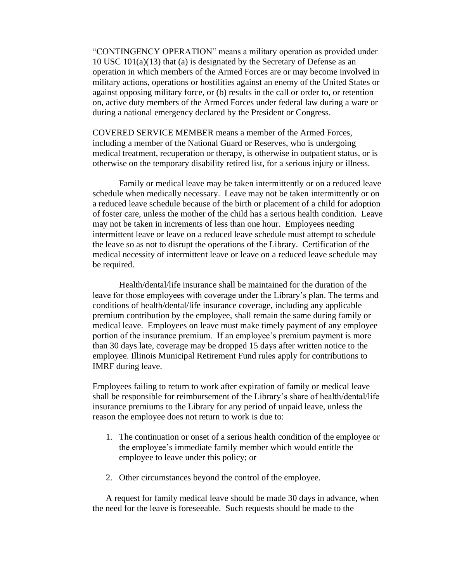"CONTINGENCY OPERATION" means a military operation as provided under 10 USC 101(a)(13) that (a) is designated by the Secretary of Defense as an operation in which members of the Armed Forces are or may become involved in military actions, operations or hostilities against an enemy of the United States or against opposing military force, or (b) results in the call or order to, or retention on, active duty members of the Armed Forces under federal law during a ware or during a national emergency declared by the President or Congress.

COVERED SERVICE MEMBER means a member of the Armed Forces, including a member of the National Guard or Reserves, who is undergoing medical treatment, recuperation or therapy, is otherwise in outpatient status, or is otherwise on the temporary disability retired list, for a serious injury or illness.

Family or medical leave may be taken intermittently or on a reduced leave schedule when medically necessary. Leave may not be taken intermittently or on a reduced leave schedule because of the birth or placement of a child for adoption of foster care, unless the mother of the child has a serious health condition. Leave may not be taken in increments of less than one hour. Employees needing intermittent leave or leave on a reduced leave schedule must attempt to schedule the leave so as not to disrupt the operations of the Library. Certification of the medical necessity of intermittent leave or leave on a reduced leave schedule may be required.

Health/dental/life insurance shall be maintained for the duration of the leave for those employees with coverage under the Library's plan. The terms and conditions of health/dental/life insurance coverage, including any applicable premium contribution by the employee, shall remain the same during family or medical leave. Employees on leave must make timely payment of any employee portion of the insurance premium. If an employee's premium payment is more than 30 days late, coverage may be dropped 15 days after written notice to the employee. Illinois Municipal Retirement Fund rules apply for contributions to IMRF during leave.

Employees failing to return to work after expiration of family or medical leave shall be responsible for reimbursement of the Library's share of health/dental/life insurance premiums to the Library for any period of unpaid leave, unless the reason the employee does not return to work is due to:

- 1. The continuation or onset of a serious health condition of the employee or the employee's immediate family member which would entitle the employee to leave under this policy; or
- 2. Other circumstances beyond the control of the employee.

A request for family medical leave should be made 30 days in advance, when the need for the leave is foreseeable. Such requests should be made to the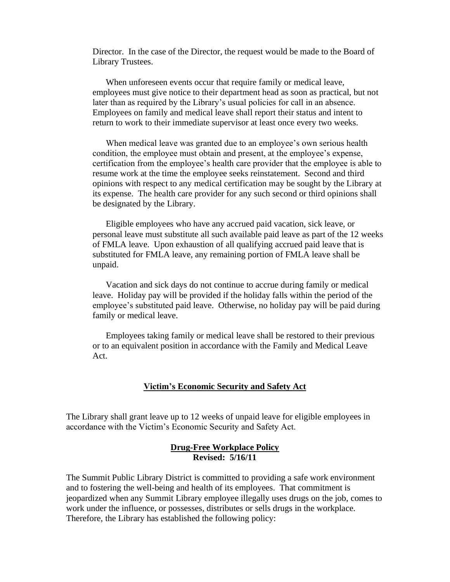Director. In the case of the Director, the request would be made to the Board of Library Trustees.

When unforeseen events occur that require family or medical leave, employees must give notice to their department head as soon as practical, but not later than as required by the Library's usual policies for call in an absence. Employees on family and medical leave shall report their status and intent to return to work to their immediate supervisor at least once every two weeks.

When medical leave was granted due to an employee's own serious health condition, the employee must obtain and present, at the employee's expense, certification from the employee's health care provider that the employee is able to resume work at the time the employee seeks reinstatement. Second and third opinions with respect to any medical certification may be sought by the Library at its expense. The health care provider for any such second or third opinions shall be designated by the Library.

Eligible employees who have any accrued paid vacation, sick leave, or personal leave must substitute all such available paid leave as part of the 12 weeks of FMLA leave. Upon exhaustion of all qualifying accrued paid leave that is substituted for FMLA leave, any remaining portion of FMLA leave shall be unpaid.

Vacation and sick days do not continue to accrue during family or medical leave. Holiday pay will be provided if the holiday falls within the period of the employee's substituted paid leave. Otherwise, no holiday pay will be paid during family or medical leave.

Employees taking family or medical leave shall be restored to their previous or to an equivalent position in accordance with the Family and Medical Leave Act.

### **Victim's Economic Security and Safety Act**

The Library shall grant leave up to 12 weeks of unpaid leave for eligible employees in accordance with the Victim's Economic Security and Safety Act.

#### **Drug-Free Workplace Policy Revised: 5/16/11**

The Summit Public Library District is committed to providing a safe work environment and to fostering the well-being and health of its employees. That commitment is jeopardized when any Summit Library employee illegally uses drugs on the job, comes to work under the influence, or possesses, distributes or sells drugs in the workplace. Therefore, the Library has established the following policy: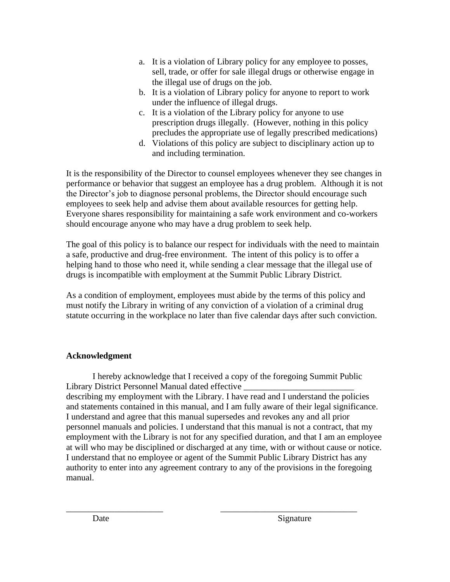- a. It is a violation of Library policy for any employee to posses, sell, trade, or offer for sale illegal drugs or otherwise engage in the illegal use of drugs on the job.
- b. It is a violation of Library policy for anyone to report to work under the influence of illegal drugs.
- c. It is a violation of the Library policy for anyone to use prescription drugs illegally. (However, nothing in this policy precludes the appropriate use of legally prescribed medications)
- d. Violations of this policy are subject to disciplinary action up to and including termination.

It is the responsibility of the Director to counsel employees whenever they see changes in performance or behavior that suggest an employee has a drug problem. Although it is not the Director's job to diagnose personal problems, the Director should encourage such employees to seek help and advise them about available resources for getting help. Everyone shares responsibility for maintaining a safe work environment and co-workers should encourage anyone who may have a drug problem to seek help.

The goal of this policy is to balance our respect for individuals with the need to maintain a safe, productive and drug-free environment. The intent of this policy is to offer a helping hand to those who need it, while sending a clear message that the illegal use of drugs is incompatible with employment at the Summit Public Library District.

As a condition of employment, employees must abide by the terms of this policy and must notify the Library in writing of any conviction of a violation of a criminal drug statute occurring in the workplace no later than five calendar days after such conviction.

# **Acknowledgment**

I hereby acknowledge that I received a copy of the foregoing Summit Public Library District Personnel Manual dated effective \_\_\_\_\_\_\_\_\_\_\_\_\_\_\_\_\_\_\_\_\_\_\_\_\_\_\_\_\_\_\_ describing my employment with the Library. I have read and I understand the policies and statements contained in this manual, and I am fully aware of their legal significance. I understand and agree that this manual supersedes and revokes any and all prior personnel manuals and policies. I understand that this manual is not a contract, that my employment with the Library is not for any specified duration, and that I am an employee at will who may be disciplined or discharged at any time, with or without cause or notice. I understand that no employee or agent of the Summit Public Library District has any authority to enter into any agreement contrary to any of the provisions in the foregoing manual.

\_\_\_\_\_\_\_\_\_\_\_\_\_\_\_\_\_\_\_\_\_\_ \_\_\_\_\_\_\_\_\_\_\_\_\_\_\_\_\_\_\_\_\_\_\_\_\_\_\_\_\_\_\_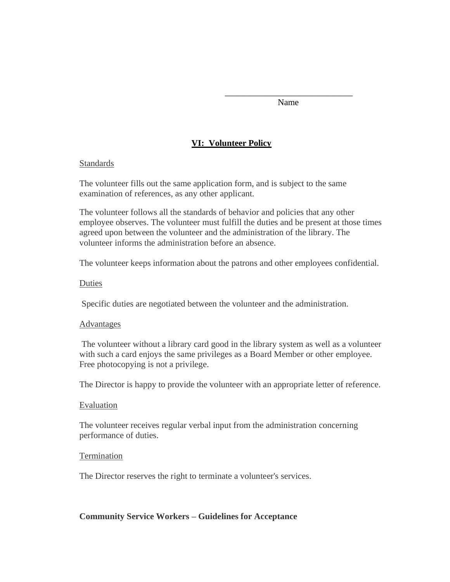\_\_\_\_\_\_\_\_\_\_\_\_\_\_\_\_\_\_\_\_\_\_\_\_\_\_\_\_\_ Name

# **VI: Volunteer Policy**

### **Standards**

The volunteer fills out the same application form, and is subject to the same examination of references, as any other applicant.

The volunteer follows all the standards of behavior and policies that any other employee observes. The volunteer must fulfill the duties and be present at those times agreed upon between the volunteer and the administration of the library. The volunteer informs the administration before an absence.

The volunteer keeps information about the patrons and other employees confidential.

## Duties

Specific duties are negotiated between the volunteer and the administration.

### **Advantages**

The volunteer without a library card good in the library system as well as a volunteer with such a card enjoys the same privileges as a Board Member or other employee. Free photocopying is not a privilege.

The Director is happy to provide the volunteer with an appropriate letter of reference.

### Evaluation

The volunteer receives regular verbal input from the administration concerning performance of duties.

### **Termination**

The Director reserves the right to terminate a volunteer's services.

# **Community Service Workers – Guidelines for Acceptance**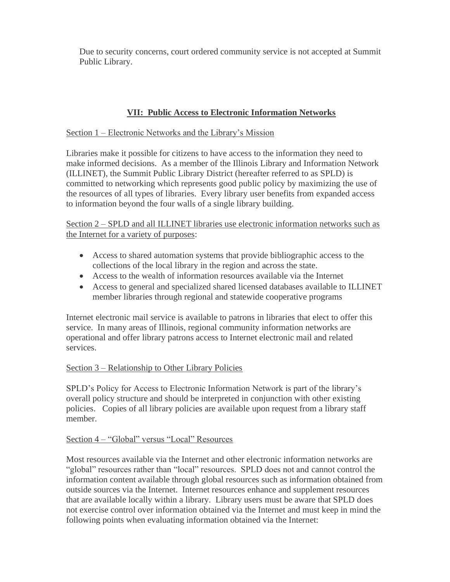Due to security concerns, court ordered community service is not accepted at Summit Public Library.

# **VII: Public Access to Electronic Information Networks**

## Section 1 – Electronic Networks and the Library's Mission

Libraries make it possible for citizens to have access to the information they need to make informed decisions. As a member of the Illinois Library and Information Network (ILLINET), the Summit Public Library District (hereafter referred to as SPLD) is committed to networking which represents good public policy by maximizing the use of the resources of all types of libraries. Every library user benefits from expanded access to information beyond the four walls of a single library building.

## Section 2 – SPLD and all ILLINET libraries use electronic information networks such as the Internet for a variety of purposes:

- Access to shared automation systems that provide bibliographic access to the collections of the local library in the region and across the state.
- Access to the wealth of information resources available via the Internet
- Access to general and specialized shared licensed databases available to ILLINET member libraries through regional and statewide cooperative programs

Internet electronic mail service is available to patrons in libraries that elect to offer this service. In many areas of Illinois, regional community information networks are operational and offer library patrons access to Internet electronic mail and related services.

### Section 3 – Relationship to Other Library Policies

SPLD's Policy for Access to Electronic Information Network is part of the library's overall policy structure and should be interpreted in conjunction with other existing policies. Copies of all library policies are available upon request from a library staff member.

# Section 4 – "Global" versus "Local" Resources

Most resources available via the Internet and other electronic information networks are "global" resources rather than "local" resources. SPLD does not and cannot control the information content available through global resources such as information obtained from outside sources via the Internet. Internet resources enhance and supplement resources that are available locally within a library. Library users must be aware that SPLD does not exercise control over information obtained via the Internet and must keep in mind the following points when evaluating information obtained via the Internet: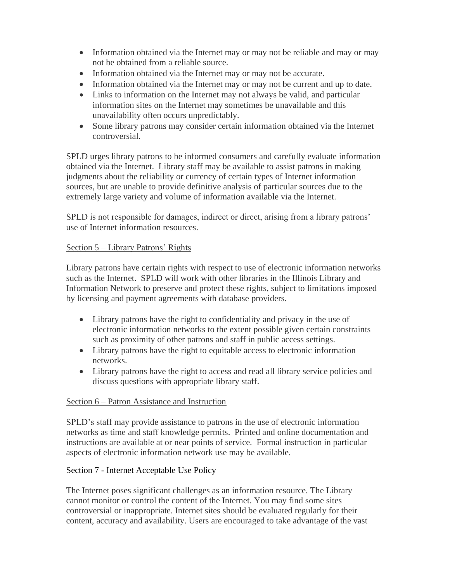- Information obtained via the Internet may or may not be reliable and may or may not be obtained from a reliable source.
- Information obtained via the Internet may or may not be accurate.
- Information obtained via the Internet may or may not be current and up to date.
- Links to information on the Internet may not always be valid, and particular information sites on the Internet may sometimes be unavailable and this unavailability often occurs unpredictably.
- Some library patrons may consider certain information obtained via the Internet controversial.

SPLD urges library patrons to be informed consumers and carefully evaluate information obtained via the Internet. Library staff may be available to assist patrons in making judgments about the reliability or currency of certain types of Internet information sources, but are unable to provide definitive analysis of particular sources due to the extremely large variety and volume of information available via the Internet.

SPLD is not responsible for damages, indirect or direct, arising from a library patrons' use of Internet information resources.

# Section 5 – Library Patrons' Rights

Library patrons have certain rights with respect to use of electronic information networks such as the Internet. SPLD will work with other libraries in the Illinois Library and Information Network to preserve and protect these rights, subject to limitations imposed by licensing and payment agreements with database providers.

- Library patrons have the right to confidentiality and privacy in the use of electronic information networks to the extent possible given certain constraints such as proximity of other patrons and staff in public access settings.
- Library patrons have the right to equitable access to electronic information networks.
- Library patrons have the right to access and read all library service policies and discuss questions with appropriate library staff.

# Section 6 – Patron Assistance and Instruction

SPLD's staff may provide assistance to patrons in the use of electronic information networks as time and staff knowledge permits. Printed and online documentation and instructions are available at or near points of service. Formal instruction in particular aspects of electronic information network use may be available.

# Section 7 - Internet Acceptable Use Policy

The Internet poses significant challenges as an information resource. The Library cannot monitor or control the content of the Internet. You may find some sites controversial or inappropriate. Internet sites should be evaluated regularly for their content, accuracy and availability. Users are encouraged to take advantage of the vast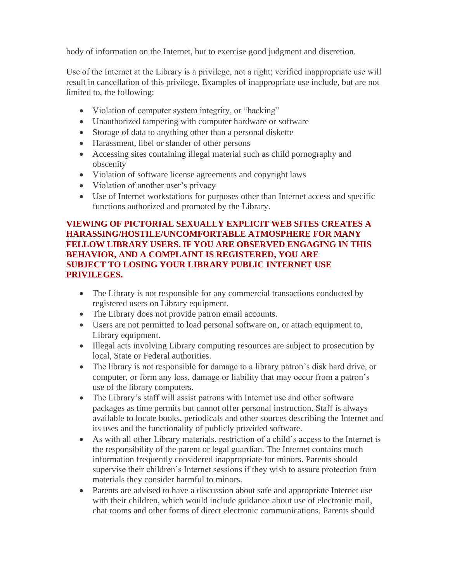body of information on the Internet, but to exercise good judgment and discretion.

Use of the Internet at the Library is a privilege, not a right; verified inappropriate use will result in cancellation of this privilege. Examples of inappropriate use include, but are not limited to, the following:

- Violation of computer system integrity, or "hacking"
- Unauthorized tampering with computer hardware or software
- Storage of data to anything other than a personal diskette
- Harassment, libel or slander of other persons
- Accessing sites containing illegal material such as child pornography and obscenity
- Violation of software license agreements and copyright laws
- Violation of another user's privacy
- Use of Internet workstations for purposes other than Internet access and specific functions authorized and promoted by the Library.

# **VIEWING OF PICTORIAL SEXUALLY EXPLICIT WEB SITES CREATES A HARASSING/HOSTILE/UNCOMFORTABLE ATMOSPHERE FOR MANY FELLOW LIBRARY USERS. IF YOU ARE OBSERVED ENGAGING IN THIS BEHAVIOR, AND A COMPLAINT IS REGISTERED, YOU ARE SUBJECT TO LOSING YOUR LIBRARY PUBLIC INTERNET USE PRIVILEGES.**

- The Library is not responsible for any commercial transactions conducted by registered users on Library equipment.
- The Library does not provide patron email accounts.
- Users are not permitted to load personal software on, or attach equipment to, Library equipment.
- Illegal acts involving Library computing resources are subject to prosecution by local, State or Federal authorities.
- The library is not responsible for damage to a library patron's disk hard drive, or computer, or form any loss, damage or liability that may occur from a patron's use of the library computers.
- The Library's staff will assist patrons with Internet use and other software packages as time permits but cannot offer personal instruction. Staff is always available to locate books, periodicals and other sources describing the Internet and its uses and the functionality of publicly provided software.
- As with all other Library materials, restriction of a child's access to the Internet is the responsibility of the parent or legal guardian. The Internet contains much information frequently considered inappropriate for minors. Parents should supervise their children's Internet sessions if they wish to assure protection from materials they consider harmful to minors.
- Parents are advised to have a discussion about safe and appropriate Internet use with their children, which would include guidance about use of electronic mail, chat rooms and other forms of direct electronic communications. Parents should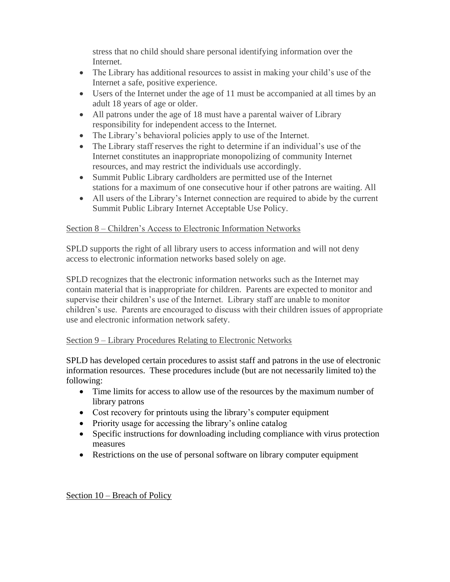stress that no child should share personal identifying information over the Internet.

- The Library has additional resources to assist in making your child's use of the Internet a safe, positive experience.
- Users of the Internet under the age of 11 must be accompanied at all times by an adult 18 years of age or older.
- All patrons under the age of 18 must have a parental waiver of Library responsibility for independent access to the Internet.
- The Library's behavioral policies apply to use of the Internet.
- The Library staff reserves the right to determine if an individual's use of the Internet constitutes an inappropriate monopolizing of community Internet resources, and may restrict the individuals use accordingly.
- Summit Public Library cardholders are permitted use of the Internet stations for a maximum of one consecutive hour if other patrons are waiting. All
- All users of the Library's Internet connection are required to abide by the current Summit Public Library Internet Acceptable Use Policy.

# Section 8 – Children's Access to Electronic Information Networks

SPLD supports the right of all library users to access information and will not deny access to electronic information networks based solely on age.

SPLD recognizes that the electronic information networks such as the Internet may contain material that is inappropriate for children. Parents are expected to monitor and supervise their children's use of the Internet. Library staff are unable to monitor children's use. Parents are encouraged to discuss with their children issues of appropriate use and electronic information network safety.

# Section 9 – Library Procedures Relating to Electronic Networks

SPLD has developed certain procedures to assist staff and patrons in the use of electronic information resources. These procedures include (but are not necessarily limited to) the following:

- Time limits for access to allow use of the resources by the maximum number of library patrons
- Cost recovery for printouts using the library's computer equipment
- Priority usage for accessing the library's online catalog
- Specific instructions for downloading including compliance with virus protection measures
- Restrictions on the use of personal software on library computer equipment

# Section 10 – Breach of Policy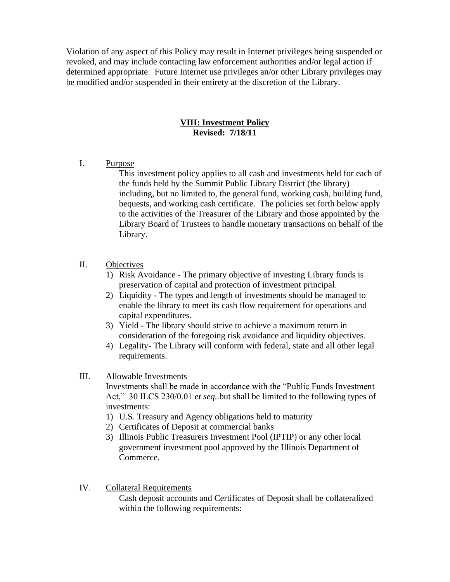Violation of any aspect of this Policy may result in Internet privileges being suspended or revoked, and may include contacting law enforcement authorities and/or legal action if determined appropriate. Future Internet use privileges an/or other Library privileges may be modified and/or suspended in their entirety at the discretion of the Library.

## **VIII: Investment Policy Revised: 7/18/11**

I. Purpose

This investment policy applies to all cash and investments held for each of the funds held by the Summit Public Library District (the library) including, but no limited to, the general fund, working cash, building fund, bequests, and working cash certificate. The policies set forth below apply to the activities of the Treasurer of the Library and those appointed by the Library Board of Trustees to handle monetary transactions on behalf of the Library.

# II. Objectives

- 1) Risk Avoidance The primary objective of investing Library funds is preservation of capital and protection of investment principal.
- 2) Liquidity The types and length of investments should be managed to enable the library to meet its cash flow requirement for operations and capital expenditures.
- 3) Yield The library should strive to achieve a maximum return in consideration of the foregoing risk avoidance and liquidity objectives.
- 4) Legality- The Library will conform with federal, state and all other legal requirements.
- III. Allowable Investments

Investments shall be made in accordance with the "Public Funds Investment Act," 30 ILCS 230/0.01 *et seq..*but shall be limited to the following types of investments:

- 1) U.S. Treasury and Agency obligations held to maturity
- 2) Certificates of Deposit at commercial banks
- 3) Illinois Public Treasurers Investment Pool (IPTIP) or any other local government investment pool approved by the Illinois Department of Commerce.
- IV. Collateral Requirements

Cash deposit accounts and Certificates of Deposit shall be collateralized within the following requirements: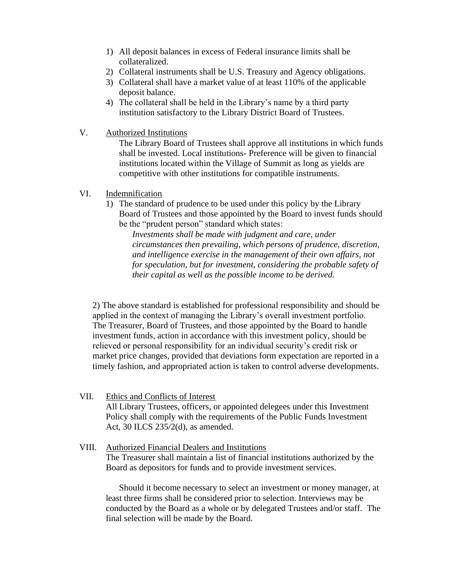- 1) All deposit balances in excess of Federal insurance limits shall be collateralized.
- 2) Collateral instruments shall be U.S. Treasury and Agency obligations.
- 3) Collateral shall have a market value of at least 110% of the applicable deposit balance.
- 4) The collateral shall be held in the Library's name by a third party institution satisfactory to the Library District Board of Trustees.
- V. Authorized Institutions

The Library Board of Trustees shall approve all institutions in which funds shall be invested. Local institutions- Preference will be given to financial institutions located within the Village of Summit as long as yields are competitive with other institutions for compatible instruments.

- VI. Indemnification
	- 1) The standard of prudence to be used under this policy by the Library Board of Trustees and those appointed by the Board to invest funds should be the "prudent person" standard which states:

*Investments shall be made with judgment and care, under circumstances then prevailing, which persons of prudence, discretion, and intelligence exercise in the management of their own affairs, not for speculation, but for investment, considering the probable safety of their capital as well as the possible income to be derived.* 

2) The above standard is established for professional responsibility and should be applied in the context of managing the Library's overall investment portfolio. The Treasurer, Board of Trustees, and those appointed by the Board to handle investment funds, action in accordance with this investment policy, should be relieved or personal responsibility for an individual security's credit risk or market price changes, provided that deviations form expectation are reported in a timely fashion, and appropriated action is taken to control adverse developments.

- VII. Ethics and Conflicts of Interest All Library Trustees, officers, or appointed delegees under this Investment Policy shall comply with the requirements of the Public Funds Investment Act, 30 ILCS 235/2(d), as amended.
- VIII. Authorized Financial Dealers and Institutions The Treasurer shall maintain a list of financial institutions authorized by the Board as depositors for funds and to provide investment services.

Should it become necessary to select an investment or money manager, at least three firms shall be considered prior to selection. Interviews may be conducted by the Board as a whole or by delegated Trustees and/or staff. The final selection will be made by the Board.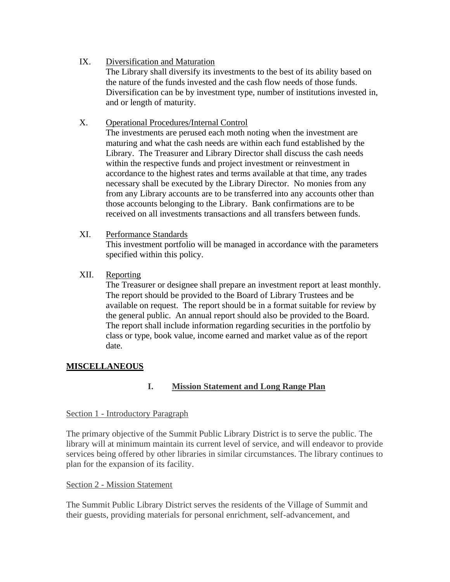IX. Diversification and Maturation

The Library shall diversify its investments to the best of its ability based on the nature of the funds invested and the cash flow needs of those funds. Diversification can be by investment type, number of institutions invested in, and or length of maturity.

## X. Operational Procedures/Internal Control

The investments are perused each moth noting when the investment are maturing and what the cash needs are within each fund established by the Library. The Treasurer and Library Director shall discuss the cash needs within the respective funds and project investment or reinvestment in accordance to the highest rates and terms available at that time, any trades necessary shall be executed by the Library Director. No monies from any from any Library accounts are to be transferred into any accounts other than those accounts belonging to the Library. Bank confirmations are to be received on all investments transactions and all transfers between funds.

## XI. Performance Standards

This investment portfolio will be managed in accordance with the parameters specified within this policy.

## XII. Reporting

The Treasurer or designee shall prepare an investment report at least monthly. The report should be provided to the Board of Library Trustees and be available on request. The report should be in a format suitable for review by the general public. An annual report should also be provided to the Board. The report shall include information regarding securities in the portfolio by class or type, book value, income earned and market value as of the report date.

# **MISCELLANEOUS**

# **I. Mission Statement and Long Range Plan**

### Section 1 - Introductory Paragraph

The primary objective of the Summit Public Library District is to serve the public. The library will at minimum maintain its current level of service, and will endeavor to provide services being offered by other libraries in similar circumstances. The library continues to plan for the expansion of its facility.

### Section 2 - Mission Statement

The Summit Public Library District serves the residents of the Village of Summit and their guests, providing materials for personal enrichment, self-advancement, and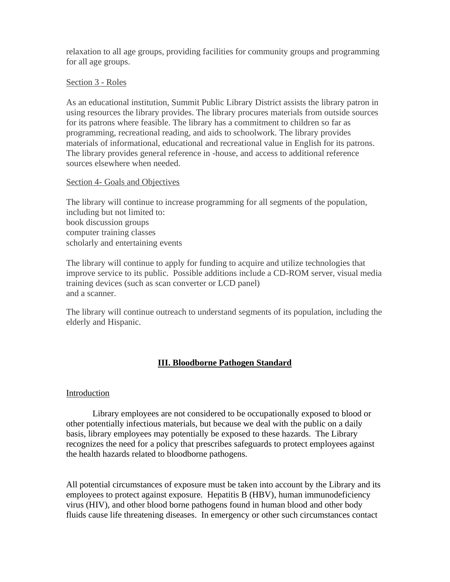relaxation to all age groups, providing facilities for community groups and programming for all age groups.

#### Section 3 - Roles

As an educational institution, Summit Public Library District assists the library patron in using resources the library provides. The library procures materials from outside sources for its patrons where feasible. The library has a commitment to children so far as programming, recreational reading, and aids to schoolwork. The library provides materials of informational, educational and recreational value in English for its patrons. The library provides general reference in -house, and access to additional reference sources elsewhere when needed.

#### Section 4- Goals and Objectives

The library will continue to increase programming for all segments of the population, including but not limited to: book discussion groups computer training classes scholarly and entertaining events

The library will continue to apply for funding to acquire and utilize technologies that improve service to its public. Possible additions include a CD-ROM server, visual media training devices (such as scan converter or LCD panel) and a scanner.

The library will continue outreach to understand segments of its population, including the elderly and Hispanic.

# **III. Bloodborne Pathogen Standard**

### Introduction

Library employees are not considered to be occupationally exposed to blood or other potentially infectious materials, but because we deal with the public on a daily basis, library employees may potentially be exposed to these hazards. The Library recognizes the need for a policy that prescribes safeguards to protect employees against the health hazards related to bloodborne pathogens.

All potential circumstances of exposure must be taken into account by the Library and its employees to protect against exposure. Hepatitis B (HBV), human immunodeficiency virus (HIV), and other blood borne pathogens found in human blood and other body fluids cause life threatening diseases. In emergency or other such circumstances contact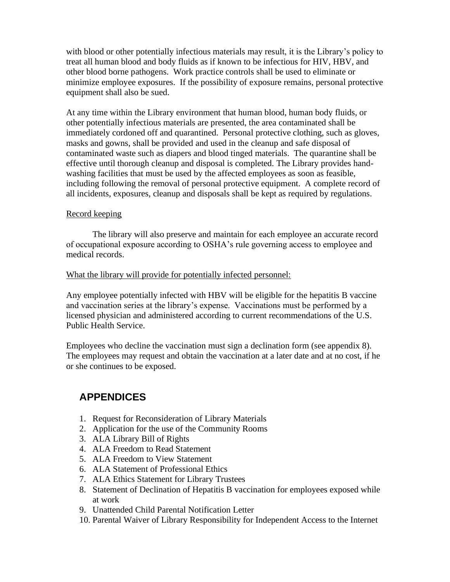with blood or other potentially infectious materials may result, it is the Library's policy to treat all human blood and body fluids as if known to be infectious for HIV, HBV, and other blood borne pathogens. Work practice controls shall be used to eliminate or minimize employee exposures. If the possibility of exposure remains, personal protective equipment shall also be sued.

At any time within the Library environment that human blood, human body fluids, or other potentially infectious materials are presented, the area contaminated shall be immediately cordoned off and quarantined. Personal protective clothing, such as gloves, masks and gowns, shall be provided and used in the cleanup and safe disposal of contaminated waste such as diapers and blood tinged materials. The quarantine shall be effective until thorough cleanup and disposal is completed. The Library provides handwashing facilities that must be used by the affected employees as soon as feasible, including following the removal of personal protective equipment. A complete record of all incidents, exposures, cleanup and disposals shall be kept as required by regulations.

## Record keeping

The library will also preserve and maintain for each employee an accurate record of occupational exposure according to OSHA's rule governing access to employee and medical records.

### What the library will provide for potentially infected personnel:

Any employee potentially infected with HBV will be eligible for the hepatitis B vaccine and vaccination series at the library's expense. Vaccinations must be performed by a licensed physician and administered according to current recommendations of the U.S. Public Health Service.

Employees who decline the vaccination must sign a declination form (see appendix 8). The employees may request and obtain the vaccination at a later date and at no cost, if he or she continues to be exposed.

# **APPENDICES**

- 1. Request for Reconsideration of Library Materials
- 2. Application for the use of the Community Rooms
- 3. ALA Library Bill of Rights
- 4. ALA Freedom to Read Statement
- 5. ALA Freedom to View Statement
- 6. ALA Statement of Professional Ethics
- 7. ALA Ethics Statement for Library Trustees
- 8. Statement of Declination of Hepatitis B vaccination for employees exposed while at work
- 9. Unattended Child Parental Notification Letter
- 10. Parental Waiver of Library Responsibility for Independent Access to the Internet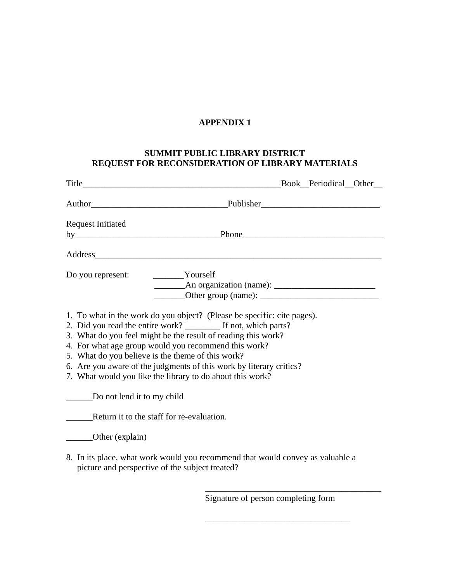## **SUMMIT PUBLIC LIBRARY DISTRICT REQUEST FOR RECONSIDERATION OF LIBRARY MATERIALS**

| <b>Request Initiated</b>   |                                                                                                                                                                                                                                                                                                                                                                                                                                                             |
|----------------------------|-------------------------------------------------------------------------------------------------------------------------------------------------------------------------------------------------------------------------------------------------------------------------------------------------------------------------------------------------------------------------------------------------------------------------------------------------------------|
|                            |                                                                                                                                                                                                                                                                                                                                                                                                                                                             |
|                            |                                                                                                                                                                                                                                                                                                                                                                                                                                                             |
|                            | Do you represent: __________Yourself                                                                                                                                                                                                                                                                                                                                                                                                                        |
|                            |                                                                                                                                                                                                                                                                                                                                                                                                                                                             |
|                            | $\frac{1}{2}$ Other group (name): $\frac{1}{2}$ Other group (name):                                                                                                                                                                                                                                                                                                                                                                                         |
|                            | 1. To what in the work do you object? (Please be specific: cite pages).<br>2. Did you read the entire work? ________ If not, which parts?<br>3. What do you feel might be the result of reading this work?<br>4. For what age group would you recommend this work?<br>5. What do you believe is the theme of this work?<br>6. Are you aware of the judgments of this work by literary critics?<br>7. What would you like the library to do about this work? |
| Do not lend it to my child |                                                                                                                                                                                                                                                                                                                                                                                                                                                             |
|                            | Return it to the staff for re-evaluation.                                                                                                                                                                                                                                                                                                                                                                                                                   |
| _______Other (explain)     |                                                                                                                                                                                                                                                                                                                                                                                                                                                             |
|                            | 8. In its place, what work would you recommend that would convey as valuable a<br>picture and perspective of the subject treated?                                                                                                                                                                                                                                                                                                                           |

 $\overline{\phantom{a}}$  ,  $\overline{\phantom{a}}$  ,  $\overline{\phantom{a}}$  ,  $\overline{\phantom{a}}$  ,  $\overline{\phantom{a}}$  ,  $\overline{\phantom{a}}$  ,  $\overline{\phantom{a}}$  ,  $\overline{\phantom{a}}$  ,  $\overline{\phantom{a}}$  ,  $\overline{\phantom{a}}$  ,  $\overline{\phantom{a}}$  ,  $\overline{\phantom{a}}$  ,  $\overline{\phantom{a}}$  ,  $\overline{\phantom{a}}$  ,  $\overline{\phantom{a}}$  ,  $\overline{\phantom{a}}$ 

 $\overline{\phantom{a}}$  ,  $\overline{\phantom{a}}$  ,  $\overline{\phantom{a}}$  ,  $\overline{\phantom{a}}$  ,  $\overline{\phantom{a}}$  ,  $\overline{\phantom{a}}$  ,  $\overline{\phantom{a}}$  ,  $\overline{\phantom{a}}$  ,  $\overline{\phantom{a}}$  ,  $\overline{\phantom{a}}$  ,  $\overline{\phantom{a}}$  ,  $\overline{\phantom{a}}$  ,  $\overline{\phantom{a}}$  ,  $\overline{\phantom{a}}$  ,  $\overline{\phantom{a}}$  ,  $\overline{\phantom{a}}$ 

Signature of person completing form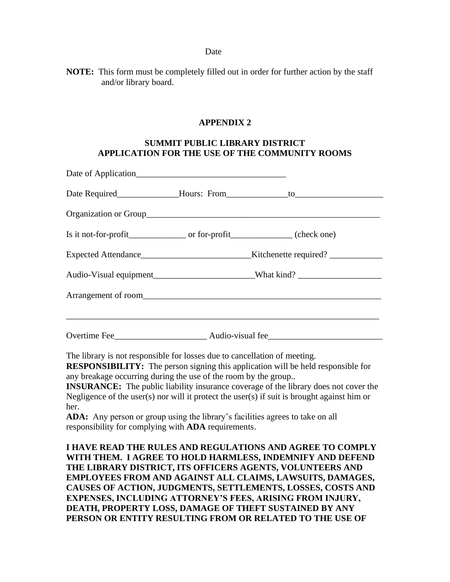#### **Date** Date

**NOTE:** This form must be completely filled out in order for further action by the staff and/or library board.

#### **APPENDIX 2**

## **SUMMIT PUBLIC LIBRARY DISTRICT APPLICATION FOR THE USE OF THE COMMUNITY ROOMS**

|  | Expected Attendance__________________________________Kitchenette required? _____________ |  |
|--|------------------------------------------------------------------------------------------|--|
|  | Audio-Visual equipment______________________________What kind? __________________        |  |
|  |                                                                                          |  |
|  |                                                                                          |  |
|  |                                                                                          |  |

The library is not responsible for losses due to cancellation of meeting.

**RESPONSIBILITY:** The person signing this application will be held responsible for any breakage occurring during the use of the room by the group..

**INSURANCE:** The public liability insurance coverage of the library does not cover the Negligence of the user(s) nor will it protect the user(s) if suit is brought against him or her.

**ADA:** Any person or group using the library's facilities agrees to take on all responsibility for complying with **ADA** requirements.

**I HAVE READ THE RULES AND REGULATIONS AND AGREE TO COMPLY WITH THEM. I AGREE TO HOLD HARMLESS, INDEMNIFY AND DEFEND THE LIBRARY DISTRICT, ITS OFFICERS AGENTS, VOLUNTEERS AND EMPLOYEES FROM AND AGAINST ALL CLAIMS, LAWSUITS, DAMAGES, CAUSES OF ACTION, JUDGMENTS, SETTLEMENTS, LOSSES, COSTS AND EXPENSES, INCLUDING ATTORNEY'S FEES, ARISING FROM INJURY, DEATH, PROPERTY LOSS, DAMAGE OF THEFT SUSTAINED BY ANY PERSON OR ENTITY RESULTING FROM OR RELATED TO THE USE OF**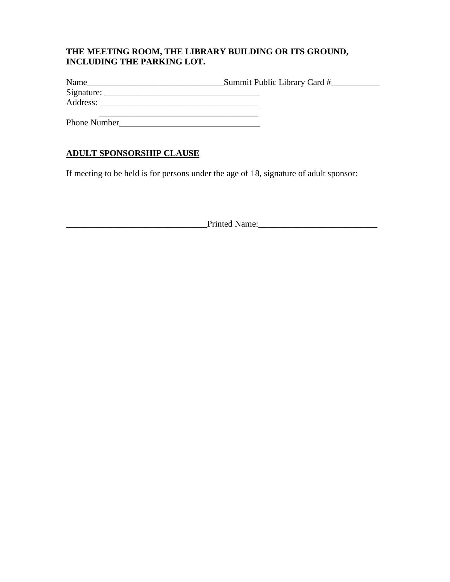# **THE MEETING ROOM, THE LIBRARY BUILDING OR ITS GROUND, INCLUDING THE PARKING LOT.**

| Name                | Summit Public Library Card # |
|---------------------|------------------------------|
|                     |                              |
| Address:            |                              |
| <b>Phone Number</b> |                              |

# **ADULT SPONSORSHIP CLAUSE**

If meeting to be held is for persons under the age of 18, signature of adult sponsor:

\_\_\_\_\_\_\_\_\_\_\_\_\_\_\_\_\_\_\_\_\_\_\_\_\_\_\_\_\_\_\_\_Printed Name:\_\_\_\_\_\_\_\_\_\_\_\_\_\_\_\_\_\_\_\_\_\_\_\_\_\_\_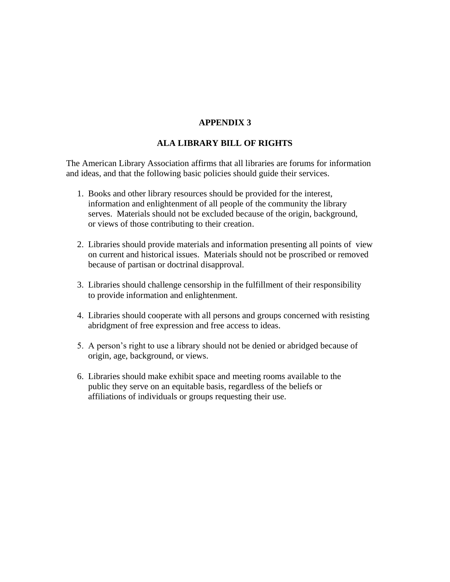## **ALA LIBRARY BILL OF RIGHTS**

The American Library Association affirms that all libraries are forums for information and ideas, and that the following basic policies should guide their services.

- 1. Books and other library resources should be provided for the interest, information and enlightenment of all people of the community the library serves. Materials should not be excluded because of the origin, background, or views of those contributing to their creation.
- 2. Libraries should provide materials and information presenting all points of view on current and historical issues. Materials should not be proscribed or removed because of partisan or doctrinal disapproval.
- 3. Libraries should challenge censorship in the fulfillment of their responsibility to provide information and enlightenment.
- 4. Libraries should cooperate with all persons and groups concerned with resisting abridgment of free expression and free access to ideas.
- 5. A person's right to use a library should not be denied or abridged because of origin, age, background, or views.
- 6. Libraries should make exhibit space and meeting rooms available to the public they serve on an equitable basis, regardless of the beliefs or affiliations of individuals or groups requesting their use.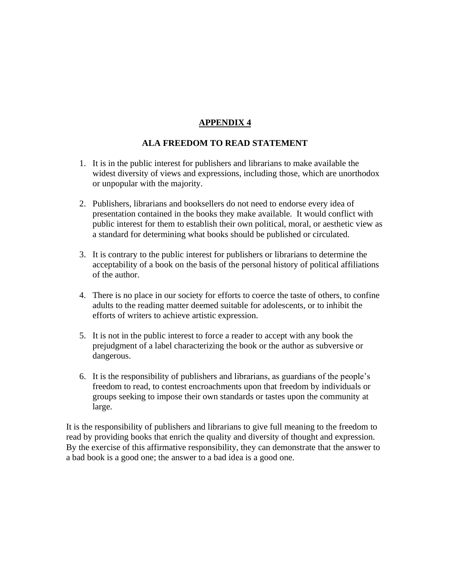# **ALA FREEDOM TO READ STATEMENT**

- 1. It is in the public interest for publishers and librarians to make available the widest diversity of views and expressions, including those, which are unorthodox or unpopular with the majority.
- 2. Publishers, librarians and booksellers do not need to endorse every idea of presentation contained in the books they make available. It would conflict with public interest for them to establish their own political, moral, or aesthetic view as a standard for determining what books should be published or circulated.
- 3. It is contrary to the public interest for publishers or librarians to determine the acceptability of a book on the basis of the personal history of political affiliations of the author.
- 4. There is no place in our society for efforts to coerce the taste of others, to confine adults to the reading matter deemed suitable for adolescents, or to inhibit the efforts of writers to achieve artistic expression.
- 5. It is not in the public interest to force a reader to accept with any book the prejudgment of a label characterizing the book or the author as subversive or dangerous.
- 6. It is the responsibility of publishers and librarians, as guardians of the people's freedom to read, to contest encroachments upon that freedom by individuals or groups seeking to impose their own standards or tastes upon the community at large.

It is the responsibility of publishers and librarians to give full meaning to the freedom to read by providing books that enrich the quality and diversity of thought and expression. By the exercise of this affirmative responsibility, they can demonstrate that the answer to a bad book is a good one; the answer to a bad idea is a good one.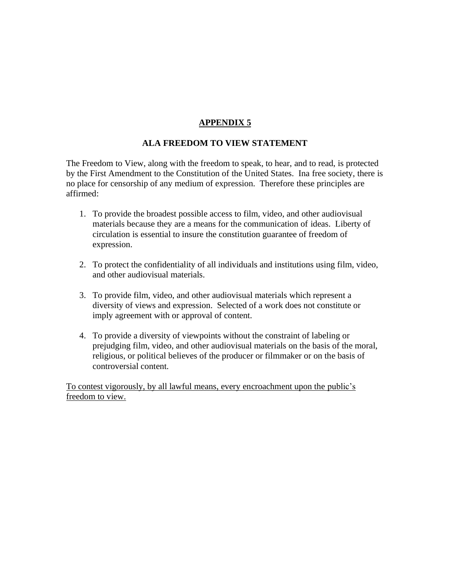# **ALA FREEDOM TO VIEW STATEMENT**

The Freedom to View, along with the freedom to speak, to hear, and to read, is protected by the First Amendment to the Constitution of the United States. Ina free society, there is no place for censorship of any medium of expression. Therefore these principles are affirmed:

- 1. To provide the broadest possible access to film, video, and other audiovisual materials because they are a means for the communication of ideas. Liberty of circulation is essential to insure the constitution guarantee of freedom of expression.
- 2. To protect the confidentiality of all individuals and institutions using film, video, and other audiovisual materials.
- 3. To provide film, video, and other audiovisual materials which represent a diversity of views and expression. Selected of a work does not constitute or imply agreement with or approval of content.
- 4. To provide a diversity of viewpoints without the constraint of labeling or prejudging film, video, and other audiovisual materials on the basis of the moral, religious, or political believes of the producer or filmmaker or on the basis of controversial content.

To contest vigorously, by all lawful means, every encroachment upon the public's freedom to view.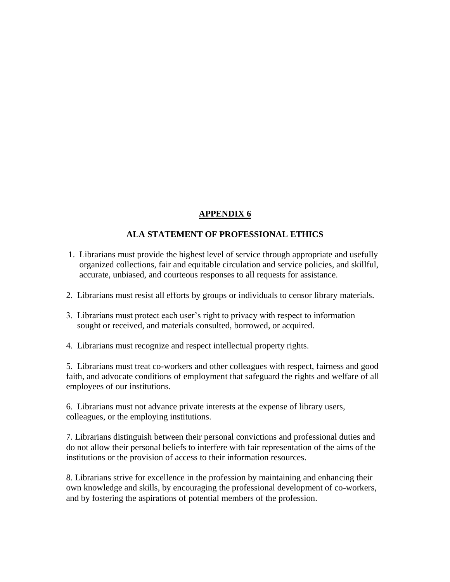# **ALA STATEMENT OF PROFESSIONAL ETHICS**

- 1. Librarians must provide the highest level of service through appropriate and usefully organized collections, fair and equitable circulation and service policies, and skillful, accurate, unbiased, and courteous responses to all requests for assistance.
- 2. Librarians must resist all efforts by groups or individuals to censor library materials.
- 3. Librarians must protect each user's right to privacy with respect to information sought or received, and materials consulted, borrowed, or acquired.
- 4. Librarians must recognize and respect intellectual property rights.

5. Librarians must treat co-workers and other colleagues with respect, fairness and good faith, and advocate conditions of employment that safeguard the rights and welfare of all employees of our institutions.

6. Librarians must not advance private interests at the expense of library users, colleagues, or the employing institutions.

7. Librarians distinguish between their personal convictions and professional duties and do not allow their personal beliefs to interfere with fair representation of the aims of the institutions or the provision of access to their information resources.

8. Librarians strive for excellence in the profession by maintaining and enhancing their own knowledge and skills, by encouraging the professional development of co-workers, and by fostering the aspirations of potential members of the profession.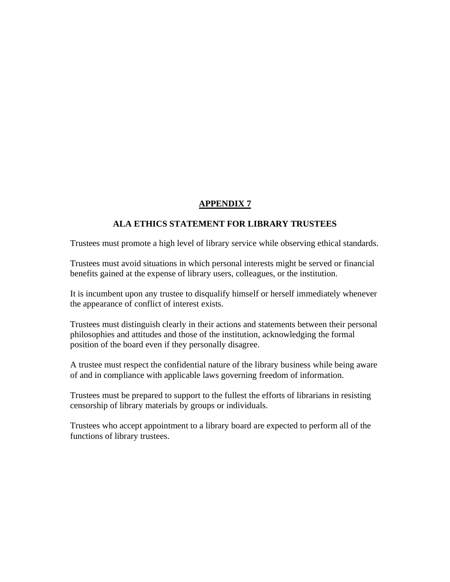## **ALA ETHICS STATEMENT FOR LIBRARY TRUSTEES**

Trustees must promote a high level of library service while observing ethical standards.

Trustees must avoid situations in which personal interests might be served or financial benefits gained at the expense of library users, colleagues, or the institution.

It is incumbent upon any trustee to disqualify himself or herself immediately whenever the appearance of conflict of interest exists.

Trustees must distinguish clearly in their actions and statements between their personal philosophies and attitudes and those of the institution, acknowledging the formal position of the board even if they personally disagree.

A trustee must respect the confidential nature of the library business while being aware of and in compliance with applicable laws governing freedom of information.

Trustees must be prepared to support to the fullest the efforts of librarians in resisting censorship of library materials by groups or individuals.

Trustees who accept appointment to a library board are expected to perform all of the functions of library trustees.